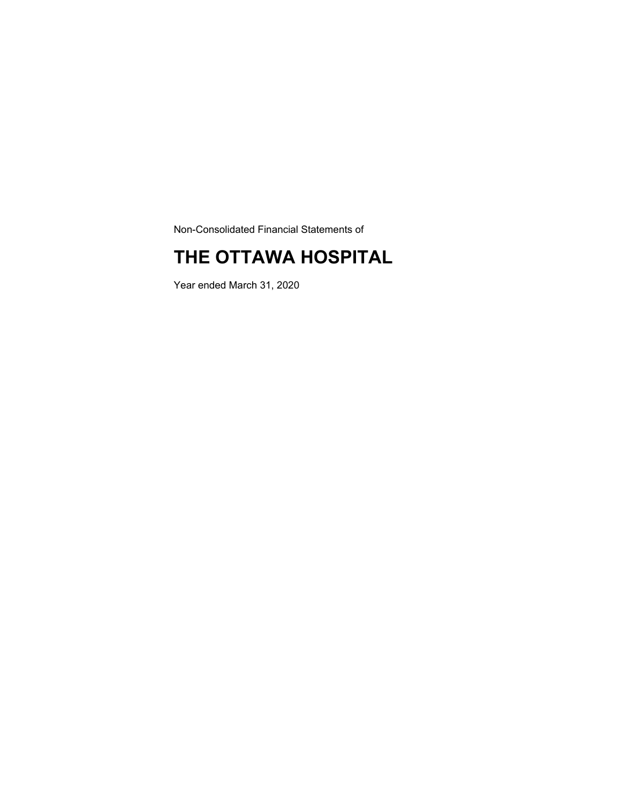Non-Consolidated Financial Statements of

### **THE OTTAWA HOSPITAL**

Year ended March 31, 2020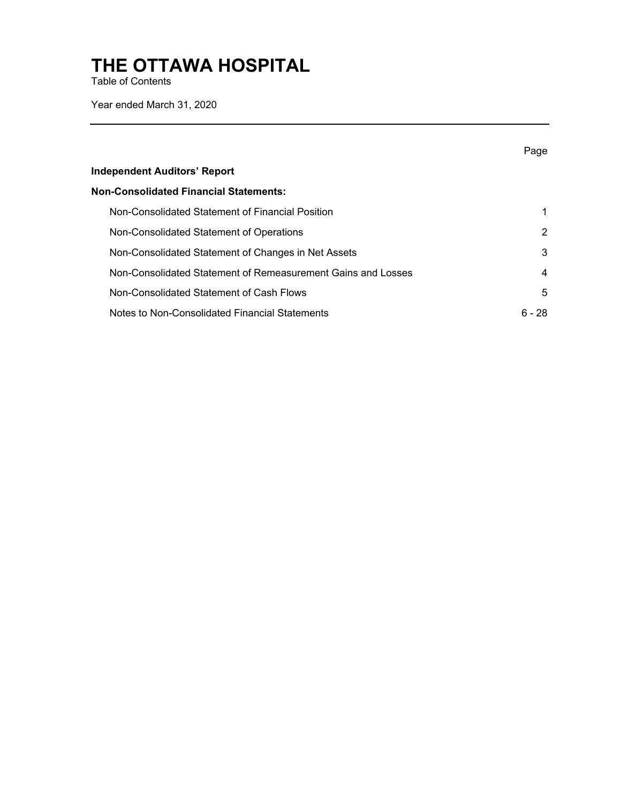Table of Contents

Year ended March 31, 2020

|                                                              | Page   |
|--------------------------------------------------------------|--------|
| <b>Independent Auditors' Report</b>                          |        |
| <b>Non-Consolidated Financial Statements:</b>                |        |
| Non-Consolidated Statement of Financial Position             | 1      |
| Non-Consolidated Statement of Operations                     | 2      |
| Non-Consolidated Statement of Changes in Net Assets          | 3      |
| Non-Consolidated Statement of Remeasurement Gains and Losses | 4      |
| Non-Consolidated Statement of Cash Flows                     | 5      |
| Notes to Non-Consolidated Financial Statements               | ճ - 28 |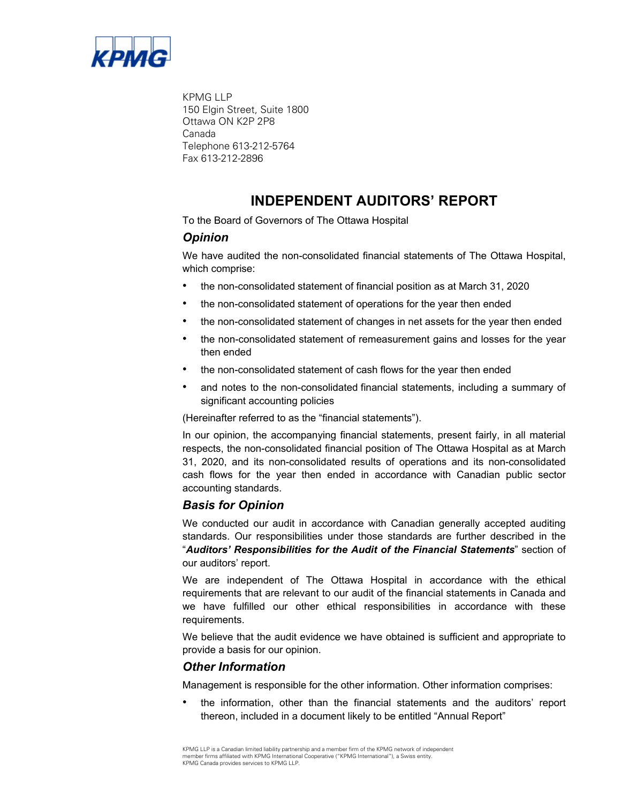

KPMG LLP 150 Elgin Street, Suite 1800 Ottawa ON K2P 2P8 Canada Telephone 613-212-5764 Fax 613-212-2896

### **INDEPENDENT AUDITORS' REPORT**

To the Board of Governors of The Ottawa Hospital

### *Opinion*

We have audited the non-consolidated financial statements of The Ottawa Hospital, which comprise:

- the non-consolidated statement of financial position as at March 31, 2020
- the non-consolidated statement of operations for the year then ended
- the non-consolidated statement of changes in net assets for the year then ended
- the non-consolidated statement of remeasurement gains and losses for the year then ended
- the non-consolidated statement of cash flows for the year then ended
- and notes to the non-consolidated financial statements, including a summary of significant accounting policies

(Hereinafter referred to as the "financial statements").

In our opinion, the accompanying financial statements, present fairly, in all material respects, the non-consolidated financial position of The Ottawa Hospital as at March 31, 2020, and its non-consolidated results of operations and its non-consolidated cash flows for the year then ended in accordance with Canadian public sector accounting standards.

### *Basis for Opinion*

We conducted our audit in accordance with Canadian generally accepted auditing standards. Our responsibilities under those standards are further described in the "*Auditors' Responsibilities for the Audit of the Financial Statements*" section of our auditors' report.

We are independent of The Ottawa Hospital in accordance with the ethical requirements that are relevant to our audit of the financial statements in Canada and we have fulfilled our other ethical responsibilities in accordance with these requirements.

We believe that the audit evidence we have obtained is sufficient and appropriate to provide a basis for our opinion.

#### *Other Information*

Management is responsible for the other information. Other information comprises:

• the information, other than the financial statements and the auditors' report thereon, included in a document likely to be entitled "Annual Report"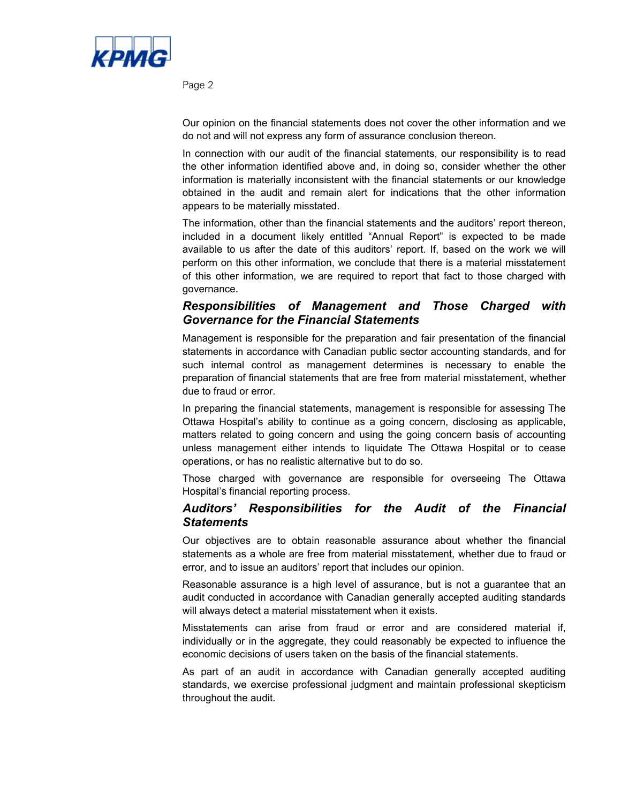

Page 2

Our opinion on the financial statements does not cover the other information and we do not and will not express any form of assurance conclusion thereon.

In connection with our audit of the financial statements, our responsibility is to read the other information identified above and, in doing so, consider whether the other information is materially inconsistent with the financial statements or our knowledge obtained in the audit and remain alert for indications that the other information appears to be materially misstated.

The information, other than the financial statements and the auditors' report thereon, included in a document likely entitled "Annual Report" is expected to be made available to us after the date of this auditors' report. If, based on the work we will perform on this other information, we conclude that there is a material misstatement of this other information, we are required to report that fact to those charged with governance.

### *Responsibilities of Management and Those Charged with Governance for the Financial Statements*

Management is responsible for the preparation and fair presentation of the financial statements in accordance with Canadian public sector accounting standards, and for such internal control as management determines is necessary to enable the preparation of financial statements that are free from material misstatement, whether due to fraud or error.

In preparing the financial statements, management is responsible for assessing The Ottawa Hospital's ability to continue as a going concern, disclosing as applicable, matters related to going concern and using the going concern basis of accounting unless management either intends to liquidate The Ottawa Hospital or to cease operations, or has no realistic alternative but to do so.

Those charged with governance are responsible for overseeing The Ottawa Hospital's financial reporting process.

### *Auditors' Responsibilities for the Audit of the Financial Statements*

Our objectives are to obtain reasonable assurance about whether the financial statements as a whole are free from material misstatement, whether due to fraud or error, and to issue an auditors' report that includes our opinion.

Reasonable assurance is a high level of assurance, but is not a guarantee that an audit conducted in accordance with Canadian generally accepted auditing standards will always detect a material misstatement when it exists.

Misstatements can arise from fraud or error and are considered material if, individually or in the aggregate, they could reasonably be expected to influence the economic decisions of users taken on the basis of the financial statements.

As part of an audit in accordance with Canadian generally accepted auditing standards, we exercise professional judgment and maintain professional skepticism throughout the audit.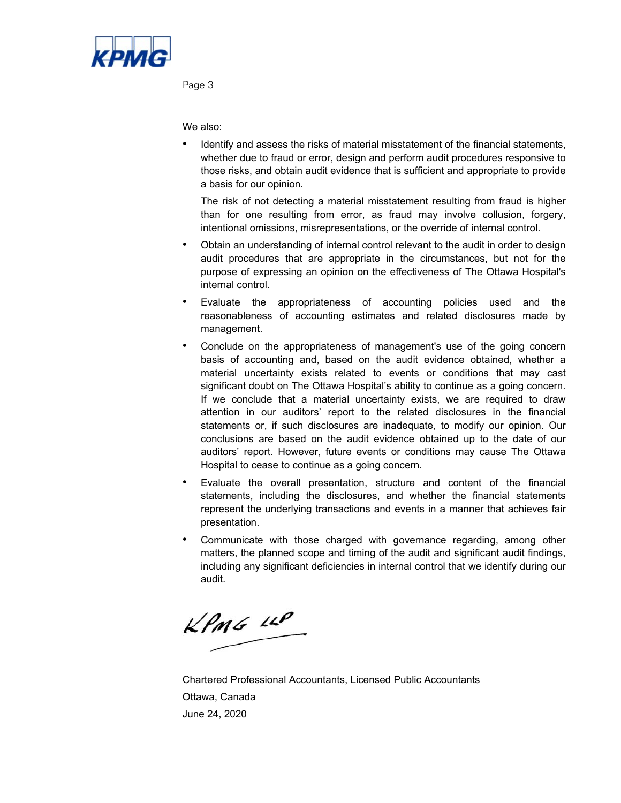

Page 3

We also:

• Identify and assess the risks of material misstatement of the financial statements, whether due to fraud or error, design and perform audit procedures responsive to those risks, and obtain audit evidence that is sufficient and appropriate to provide a basis for our opinion.

The risk of not detecting a material misstatement resulting from fraud is higher than for one resulting from error, as fraud may involve collusion, forgery, intentional omissions, misrepresentations, or the override of internal control.

- Obtain an understanding of internal control relevant to the audit in order to design audit procedures that are appropriate in the circumstances, but not for the purpose of expressing an opinion on the effectiveness of The Ottawa Hospital's internal control.
- Evaluate the appropriateness of accounting policies used and the reasonableness of accounting estimates and related disclosures made by management.
- • Conclude on the appropriateness of management's use of the going concern basis of accounting and, based on the audit evidence obtained, whether a material uncertainty exists related to events or conditions that may cast significant doubt on The Ottawa Hospital's ability to continue as a going concern. If we conclude that a material uncertainty exists, we are required to draw attention in our auditors' report to the related disclosures in the financial statements or, if such disclosures are inadequate, to modify our opinion. Our conclusions are based on the audit evidence obtained up to the date of our auditors' report. However, future events or conditions may cause The Ottawa Hospital to cease to continue as a going concern.
- Evaluate the overall presentation, structure and content of the financial statements, including the disclosures, and whether the financial statements represent the underlying transactions and events in a manner that achieves fair presentation.
- Communicate with those charged with governance regarding, among other matters, the planned scope and timing of the audit and significant audit findings, including any significant deficiencies in internal control that we identify during our audit.

 $KPMS$  11P

Chartered Professional Accountants, Licensed Public Accountants Ottawa, Canada June 24, 2020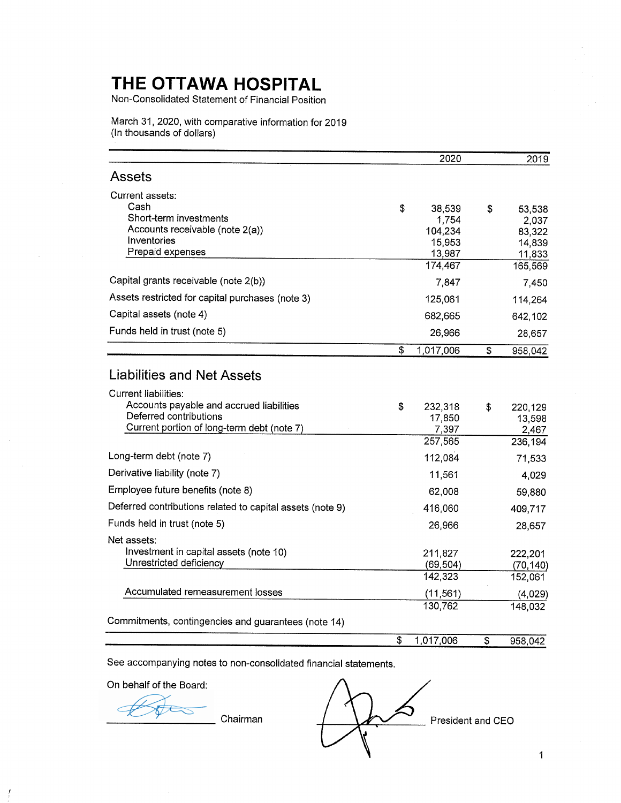Non-Consolidated Statement of Financial Position

March 31, 2020, with comparative information for 2019 (In thousands of dollars)

|                                                                                                                                                 | 2020                                                            | 2019                                                           |
|-------------------------------------------------------------------------------------------------------------------------------------------------|-----------------------------------------------------------------|----------------------------------------------------------------|
| Assets                                                                                                                                          |                                                                 |                                                                |
| Current assets:<br>Cash<br>Short-term investments<br>Accounts receivable (note 2(a))<br>Inventories<br>Prepaid expenses                         | \$<br>38,539<br>1,754<br>104,234<br>15,953<br>13,987<br>174,467 | \$<br>53,538<br>2,037<br>83,322<br>14,839<br>11,833<br>165,569 |
| Capital grants receivable (note 2(b))                                                                                                           | 7,847                                                           | 7,450                                                          |
| Assets restricted for capital purchases (note 3)                                                                                                | 125,061                                                         | 114,264                                                        |
| Capital assets (note 4)                                                                                                                         | 682,665                                                         | 642,102                                                        |
| Funds held in trust (note 5)                                                                                                                    | 26,966                                                          | 28,657                                                         |
|                                                                                                                                                 | \$<br>1,017,006                                                 | \$<br>958,042                                                  |
| Liabilities and Net Assets                                                                                                                      |                                                                 |                                                                |
| <b>Current liabilities:</b><br>Accounts payable and accrued liabilities<br>Deferred contributions<br>Current portion of long-term debt (note 7) | \$<br>232,318<br>17,850<br>7,397<br>257,565                     | \$<br>220,129<br>13,598<br>2,467<br>236,194                    |
| Long-term debt (note 7)                                                                                                                         | 112,084                                                         | 71,533                                                         |
| Derivative liability (note 7)                                                                                                                   | 11,561                                                          | 4,029                                                          |
| Employee future benefits (note 8)                                                                                                               | 62,008                                                          | 59,880                                                         |
| Deferred contributions related to capital assets (note 9)                                                                                       | 416,060                                                         | 409,717                                                        |
| Funds held in trust (note 5)                                                                                                                    | 26,966                                                          | 28,657                                                         |
| Net assets:<br>Investment in capital assets (note 10)<br>Unrestricted deficiency                                                                | 211,827<br>(69, 504)                                            | 222,201<br>(70, 140)                                           |
|                                                                                                                                                 | 142,323                                                         | 152,061                                                        |
| Accumulated remeasurement losses                                                                                                                | (11, 561)<br>130,762                                            | (4,029)<br>148,032                                             |
| Commitments, contingencies and guarantees (note 14)                                                                                             |                                                                 |                                                                |
|                                                                                                                                                 | \$<br>1,017,006                                                 | \$<br>958,042                                                  |

See accompanying notes to non-consolidated financial statements.

On behalf of the Board:

Chairman

⊃ President and CEO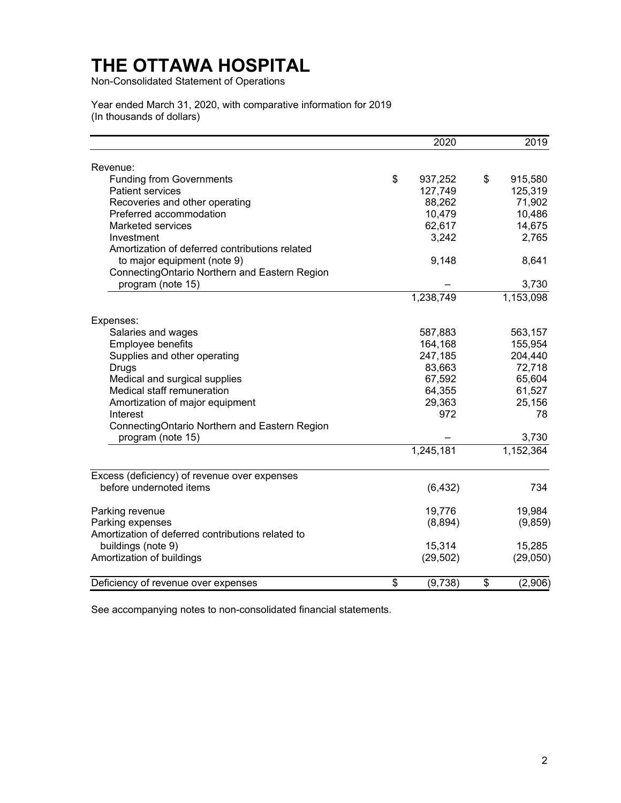Non-Consolidated Statement of Operations

Year ended March 31, 2020, with comparative information for 2019 (In thousands of dollars)

|                                                   | 2020          | 2019          |
|---------------------------------------------------|---------------|---------------|
| Revenue:                                          |               |               |
| <b>Funding from Governments</b>                   | \$<br>937,252 | \$<br>915,580 |
| <b>Patient services</b>                           | 127,749       | 125,319       |
| Recoveries and other operating                    | 88,262        | 71,902        |
| Preferred accommodation                           | 10,479        | 10,486        |
| <b>Marketed services</b>                          | 62,617        | 14,675        |
| Investment                                        | 3,242         | 2,765         |
| Amortization of deferred contributions related    |               |               |
| to major equipment (note 9)                       | 9,148         | 8,641         |
| ConnectingOntario Northern and Eastern Region     |               |               |
| program (note 15)                                 |               | 3,730         |
|                                                   | 1,238,749     | 1,153,098     |
| Expenses:                                         |               |               |
| Salaries and wages                                | 587,883       | 563,157       |
| Employee benefits                                 | 164,168       | 155,954       |
| Supplies and other operating                      | 247,185       | 204,440       |
| Drugs                                             | 83,663        | 72,718        |
| Medical and surgical supplies                     | 67,592        | 65,604        |
| Medical staff remuneration                        | 64,355        | 61,527        |
| Amortization of major equipment                   | 29,363        | 25,156        |
| Interest                                          | 972           | 78            |
| ConnectingOntario Northern and Eastern Region     |               |               |
| program (note 15)                                 |               | 3,730         |
|                                                   | 1,245,181     | 1,152,364     |
| Excess (deficiency) of revenue over expenses      |               |               |
| before undernoted items                           | (6, 432)      | 734           |
| Parking revenue                                   | 19,776        | 19,984        |
| Parking expenses                                  | (8,894)       | (9, 859)      |
| Amortization of deferred contributions related to |               |               |
| buildings (note 9)                                | 15,314        | 15,285        |
| Amortization of buildings                         | (29, 502)     | (29,050)      |
| Deficiency of revenue over expenses               | \$<br>(9,738) | \$<br>(2,906) |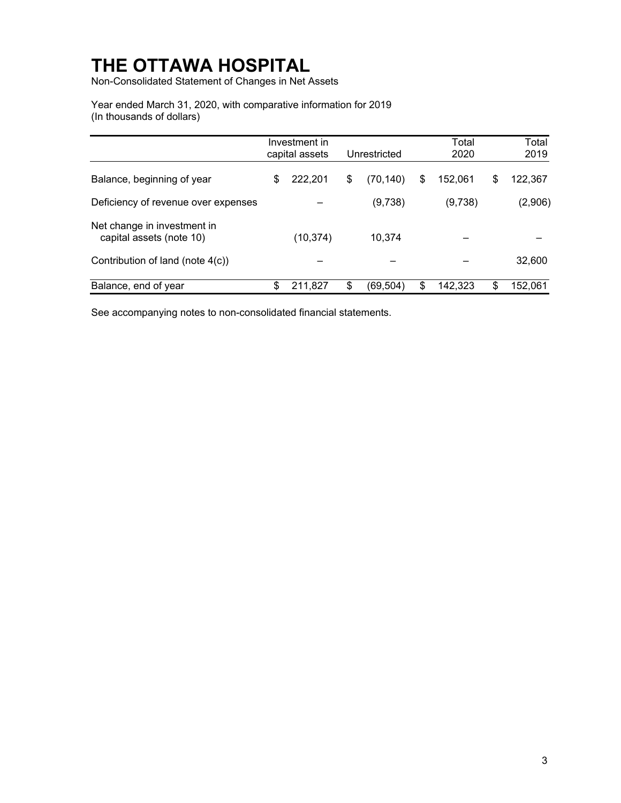Non-Consolidated Statement of Changes in Net Assets

Year ended March 31, 2020, with comparative information for 2019 (In thousands of dollars)

|                                                         | Investment in<br>capital assets | Unrestricted    | Total<br>2020 | Total<br>2019 |
|---------------------------------------------------------|---------------------------------|-----------------|---------------|---------------|
| Balance, beginning of year                              | \$<br>222,201                   | \$<br>(70, 140) | \$<br>152,061 | \$<br>122,367 |
| Deficiency of revenue over expenses                     |                                 | (9,738)         | (9,738)       | (2,906)       |
| Net change in investment in<br>capital assets (note 10) | (10, 374)                       | 10,374          |               |               |
| Contribution of land (note 4(c))                        |                                 |                 |               | 32,600        |
| Balance, end of year                                    | \$<br>211.827                   | \$<br>(69, 504) | \$<br>142,323 | \$<br>152,061 |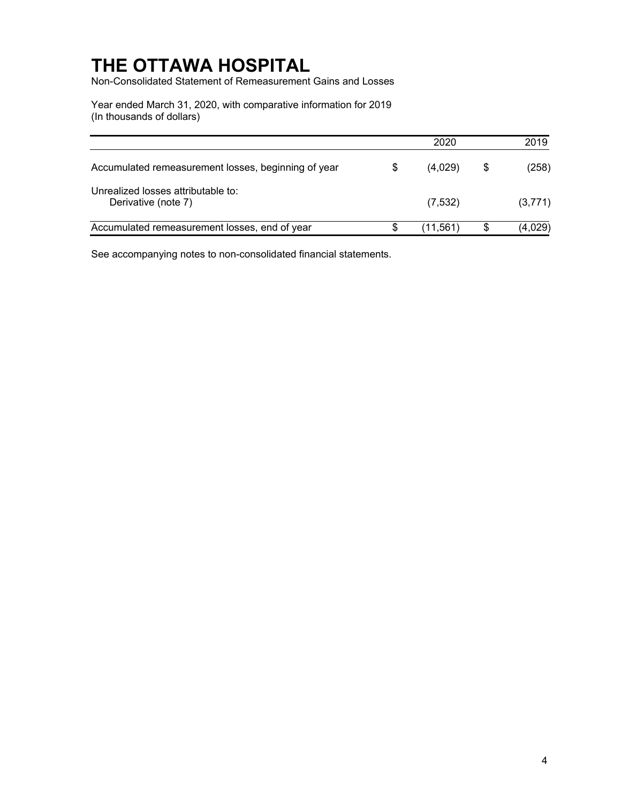Non-Consolidated Statement of Remeasurement Gains and Losses

Year ended March 31, 2020, with comparative information for 2019 (In thousands of dollars)

|                                                           | 2020          | 2019          |
|-----------------------------------------------------------|---------------|---------------|
| Accumulated remeasurement losses, beginning of year       | \$<br>(4.029) | \$<br>(258)   |
| Unrealized losses attributable to:<br>Derivative (note 7) | (7, 532)      | (3,771)       |
| Accumulated remeasurement losses, end of year             | (11,561)      | \$<br>(4,029) |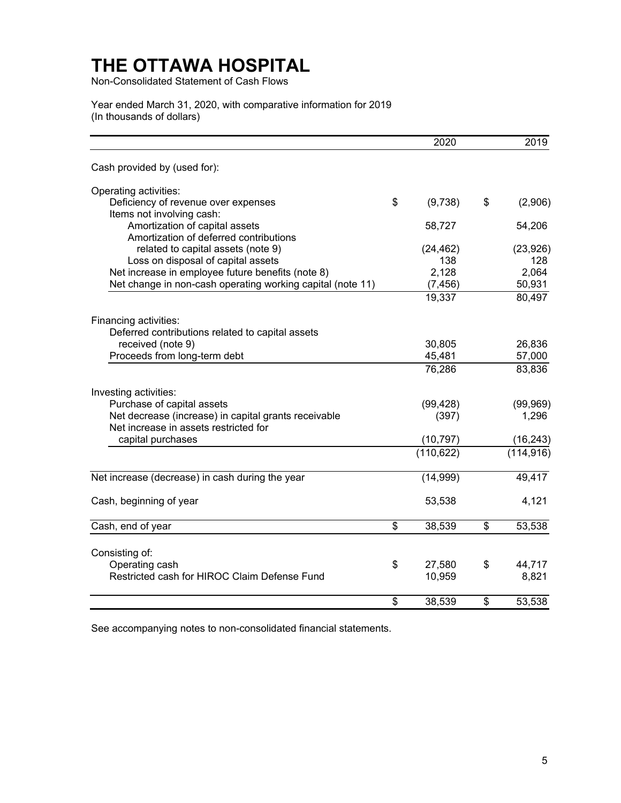Non-Consolidated Statement of Cash Flows

Year ended March 31, 2020, with comparative information for 2019 (In thousands of dollars)

|                                                                                                                 | 2020              | 2019             |
|-----------------------------------------------------------------------------------------------------------------|-------------------|------------------|
| Cash provided by (used for):                                                                                    |                   |                  |
| Operating activities:                                                                                           |                   |                  |
| Deficiency of revenue over expenses<br>Items not involving cash:                                                | \$<br>(9,738)     | \$<br>(2,906)    |
| Amortization of capital assets<br>Amortization of deferred contributions                                        | 58,727            | 54,206           |
| related to capital assets (note 9)<br>Loss on disposal of capital assets                                        | (24, 462)<br>138  | (23, 926)<br>128 |
| Net increase in employee future benefits (note 8)<br>Net change in non-cash operating working capital (note 11) | 2,128<br>(7, 456) | 2,064<br>50,931  |
|                                                                                                                 | 19,337            | 80,497           |
| Financing activities:                                                                                           |                   |                  |
| Deferred contributions related to capital assets                                                                | 30,805            | 26,836           |
| received (note 9)<br>Proceeds from long-term debt                                                               | 45,481            | 57,000           |
|                                                                                                                 | 76,286            | 83,836           |
| Investing activities:                                                                                           |                   |                  |
| Purchase of capital assets                                                                                      | (99, 428)         | (99, 969)        |
| Net decrease (increase) in capital grants receivable<br>Net increase in assets restricted for                   | (397)             | 1,296            |
| capital purchases                                                                                               | (10, 797)         | (16, 243)        |
|                                                                                                                 | (110, 622)        | (114, 916)       |
| Net increase (decrease) in cash during the year                                                                 | (14, 999)         | 49,417           |
| Cash, beginning of year                                                                                         | 53,538            | 4,121            |
| Cash, end of year                                                                                               | \$<br>38,539      | \$<br>53,538     |
| Consisting of:                                                                                                  |                   |                  |
| Operating cash                                                                                                  | \$<br>27,580      | \$<br>44,717     |
| Restricted cash for HIROC Claim Defense Fund                                                                    | 10,959            | 8,821            |
|                                                                                                                 | \$<br>38,539      | \$<br>53,538     |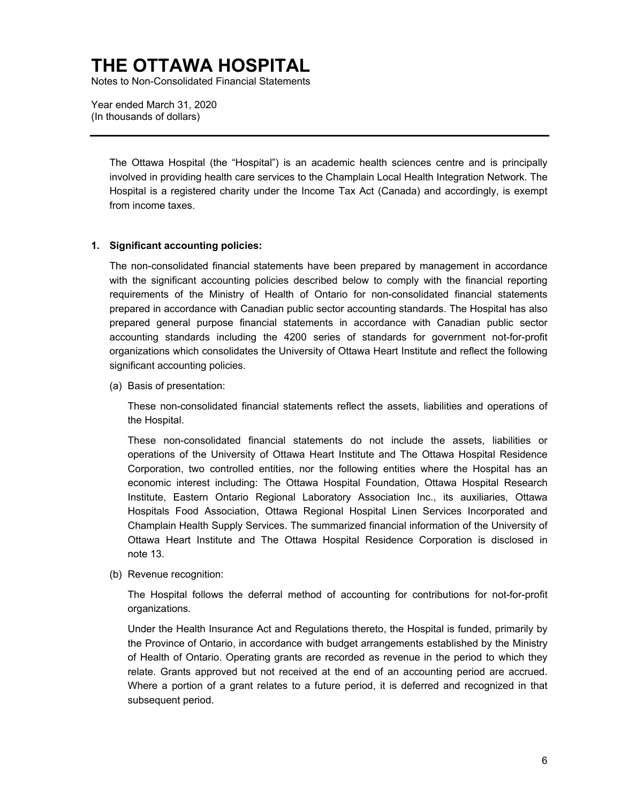Notes to Non-Consolidated Financial Statements

Year ended March 31, 2020 (In thousands of dollars)

> The Ottawa Hospital (the "Hospital") is an academic health sciences centre and is principally involved in providing health care services to the Champlain Local Health Integration Network. The Hospital is a registered charity under the Income Tax Act (Canada) and accordingly, is exempt from income taxes.

#### **1. Significant accounting policies:**

The non-consolidated financial statements have been prepared by management in accordance with the significant accounting policies described below to comply with the financial reporting requirements of the Ministry of Health of Ontario for non-consolidated financial statements prepared in accordance with Canadian public sector accounting standards. The Hospital has also prepared general purpose financial statements in accordance with Canadian public sector accounting standards including the 4200 series of standards for government not-for-profit organizations which consolidates the University of Ottawa Heart Institute and reflect the following significant accounting policies.

(a) Basis of presentation:

These non-consolidated financial statements reflect the assets, liabilities and operations of the Hospital.

These non-consolidated financial statements do not include the assets, liabilities or operations of the University of Ottawa Heart Institute and The Ottawa Hospital Residence Corporation, two controlled entities, nor the following entities where the Hospital has an economic interest including: The Ottawa Hospital Foundation, Ottawa Hospital Research Institute, Eastern Ontario Regional Laboratory Association Inc., its auxiliaries, Ottawa Hospitals Food Association, Ottawa Regional Hospital Linen Services Incorporated and Champlain Health Supply Services. The summarized financial information of the University of Ottawa Heart Institute and The Ottawa Hospital Residence Corporation is disclosed in note 13.

(b) Revenue recognition:

The Hospital follows the deferral method of accounting for contributions for not-for-profit organizations.

Under the Health Insurance Act and Regulations thereto, the Hospital is funded, primarily by the Province of Ontario, in accordance with budget arrangements established by the Ministry of Health of Ontario. Operating grants are recorded as revenue in the period to which they relate. Grants approved but not received at the end of an accounting period are accrued. Where a portion of a grant relates to a future period, it is deferred and recognized in that subsequent period.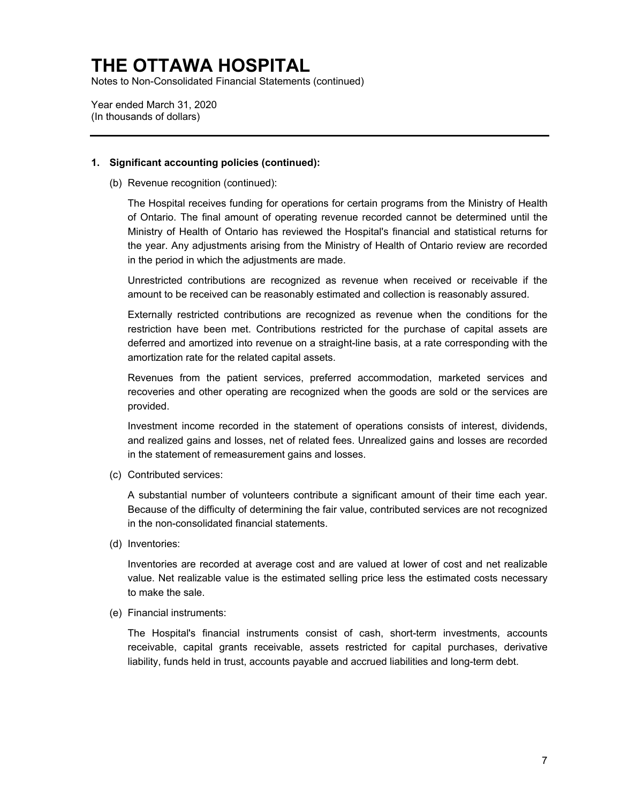Notes to Non-Consolidated Financial Statements (continued)

Year ended March 31, 2020 (In thousands of dollars)

#### **1. Significant accounting policies (continued):**

(b) Revenue recognition (continued):

The Hospital receives funding for operations for certain programs from the Ministry of Health of Ontario. The final amount of operating revenue recorded cannot be determined until the Ministry of Health of Ontario has reviewed the Hospital's financial and statistical returns for the year. Any adjustments arising from the Ministry of Health of Ontario review are recorded in the period in which the adjustments are made.

Unrestricted contributions are recognized as revenue when received or receivable if the amount to be received can be reasonably estimated and collection is reasonably assured.

Externally restricted contributions are recognized as revenue when the conditions for the restriction have been met. Contributions restricted for the purchase of capital assets are deferred and amortized into revenue on a straight-line basis, at a rate corresponding with the amortization rate for the related capital assets.

Revenues from the patient services, preferred accommodation, marketed services and recoveries and other operating are recognized when the goods are sold or the services are provided.

Investment income recorded in the statement of operations consists of interest, dividends, and realized gains and losses, net of related fees. Unrealized gains and losses are recorded in the statement of remeasurement gains and losses.

(c) Contributed services:

A substantial number of volunteers contribute a significant amount of their time each year. Because of the difficulty of determining the fair value, contributed services are not recognized in the non-consolidated financial statements.

(d) Inventories:

Inventories are recorded at average cost and are valued at lower of cost and net realizable value. Net realizable value is the estimated selling price less the estimated costs necessary to make the sale.

(e) Financial instruments:

 The Hospital's financial instruments consist of cash, short-term investments, accounts receivable, capital grants receivable, assets restricted for capital purchases, derivative liability, funds held in trust, accounts payable and accrued liabilities and long-term debt.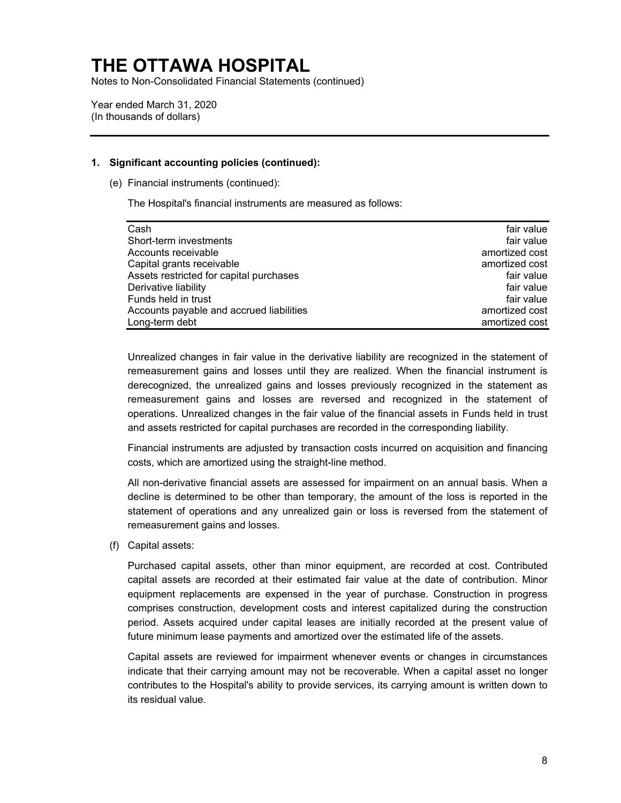Notes to Non-Consolidated Financial Statements (continued)

Year ended March 31, 2020 (In thousands of dollars)

#### **1. Significant accounting policies (continued):**

(e) Financial instruments (continued):

The Hospital's financial instruments are measured as follows:

| Cash                                     | fair value     |
|------------------------------------------|----------------|
| Short-term investments                   | fair value     |
| Accounts receivable                      | amortized cost |
| Capital grants receivable                | amortized cost |
| Assets restricted for capital purchases  | fair value     |
| Derivative liability                     | fair value     |
| Funds held in trust                      | fair value     |
| Accounts payable and accrued liabilities | amortized cost |
| Long-term debt                           | amortized cost |

Unrealized changes in fair value in the derivative liability are recognized in the statement of remeasurement gains and losses until they are realized. When the financial instrument is derecognized, the unrealized gains and losses previously recognized in the statement as remeasurement gains and losses are reversed and recognized in the statement of operations. Unrealized changes in the fair value of the financial assets in Funds held in trust and assets restricted for capital purchases are recorded in the corresponding liability.

Financial instruments are adjusted by transaction costs incurred on acquisition and financing costs, which are amortized using the straight-line method.

All non-derivative financial assets are assessed for impairment on an annual basis. When a decline is determined to be other than temporary, the amount of the loss is reported in the statement of operations and any unrealized gain or loss is reversed from the statement of remeasurement gains and losses.

(f) Capital assets:

Purchased capital assets, other than minor equipment, are recorded at cost. Contributed capital assets are recorded at their estimated fair value at the date of contribution. Minor equipment replacements are expensed in the year of purchase. Construction in progress comprises construction, development costs and interest capitalized during the construction period. Assets acquired under capital leases are initially recorded at the present value of future minimum lease payments and amortized over the estimated life of the assets.

Capital assets are reviewed for impairment whenever events or changes in circumstances indicate that their carrying amount may not be recoverable. When a capital asset no longer contributes to the Hospital's ability to provide services, its carrying amount is written down to its residual value.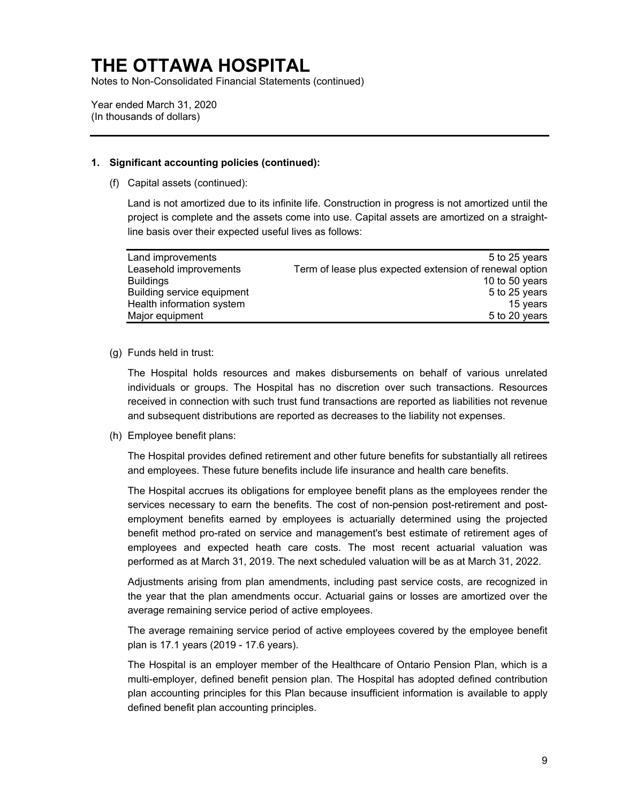Notes to Non-Consolidated Financial Statements (continued)

Year ended March 31, 2020 (In thousands of dollars)

#### **1. Significant accounting policies (continued):**

(f) Capital assets (continued):

Land is not amortized due to its infinite life. Construction in progress is not amortized until the project is complete and the assets come into use. Capital assets are amortized on a straightline basis over their expected useful lives as follows:

| Land improvements          | 5 to 25 years                                           |
|----------------------------|---------------------------------------------------------|
| Leasehold improvements     | Term of lease plus expected extension of renewal option |
| <b>Buildings</b>           | 10 to 50 years                                          |
| Building service equipment | 5 to 25 years                                           |
| Health information system  | 15 years                                                |
| Major equipment            | 5 to 20 years                                           |

#### (g) Funds held in trust:

The Hospital holds resources and makes disbursements on behalf of various unrelated individuals or groups. The Hospital has no discretion over such transactions. Resources received in connection with such trust fund transactions are reported as liabilities not revenue and subsequent distributions are reported as decreases to the liability not expenses.

(h) Employee benefit plans:

The Hospital provides defined retirement and other future benefits for substantially all retirees and employees. These future benefits include life insurance and health care benefits.

The Hospital accrues its obligations for employee benefit plans as the employees render the services necessary to earn the benefits. The cost of non-pension post-retirement and postemployment benefits earned by employees is actuarially determined using the projected benefit method pro-rated on service and management's best estimate of retirement ages of employees and expected heath care costs. The most recent actuarial valuation was performed as at March 31, 2019. The next scheduled valuation will be as at March 31, 2022.

Adjustments arising from plan amendments, including past service costs, are recognized in the year that the plan amendments occur. Actuarial gains or losses are amortized over the average remaining service period of active employees.

The average remaining service period of active employees covered by the employee benefit plan is 17.1 years (2019 - 17.6 years).

 The Hospital is an employer member of the Healthcare of Ontario Pension Plan, which is a multi-employer, defined benefit pension plan. The Hospital has adopted defined contribution plan accounting principles for this Plan because insufficient information is available to apply defined benefit plan accounting principles.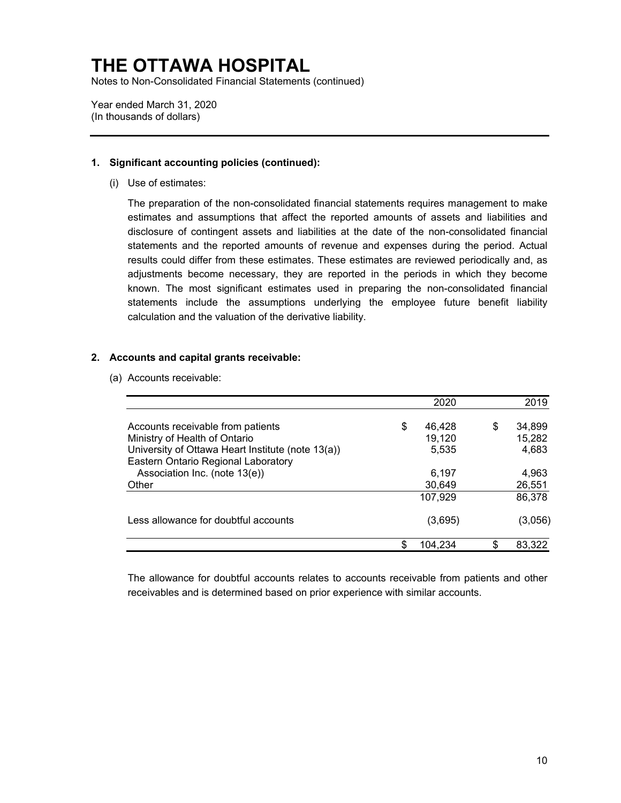Notes to Non-Consolidated Financial Statements (continued)

Year ended March 31, 2020 (In thousands of dollars)

#### **1. Significant accounting policies (continued):**

(i) Use of estimates:

The preparation of the non-consolidated financial statements requires management to make estimates and assumptions that affect the reported amounts of assets and liabilities and disclosure of contingent assets and liabilities at the date of the non-consolidated financial statements and the reported amounts of revenue and expenses during the period. Actual results could differ from these estimates. These estimates are reviewed periodically and, as adjustments become necessary, they are reported in the periods in which they become known. The most significant estimates used in preparing the non-consolidated financial statements include the assumptions underlying the employee future benefit liability calculation and the valuation of the derivative liability.

#### **2. Accounts and capital grants receivable:**

(a) Accounts receivable:

|                                                                                                                         |    | 2020                      |    | 2019                      |
|-------------------------------------------------------------------------------------------------------------------------|----|---------------------------|----|---------------------------|
| Accounts receivable from patients<br>Ministry of Health of Ontario<br>University of Ottawa Heart Institute (note 13(a)) | \$ | 46,428<br>19,120<br>5,535 | \$ | 34,899<br>15,282<br>4,683 |
| Eastern Ontario Regional Laboratory<br>Association Inc. (note 13(e))<br>Other                                           |    | 6,197<br>30,649           |    | 4,963<br>26,551           |
|                                                                                                                         |    | 107,929                   |    | 86,378                    |
| Less allowance for doubtful accounts                                                                                    |    | (3,695)                   |    | (3,056)                   |
|                                                                                                                         | S. | 104.234                   | .ፍ | 83.322                    |

The allowance for doubtful accounts relates to accounts receivable from patients and other receivables and is determined based on prior experience with similar accounts.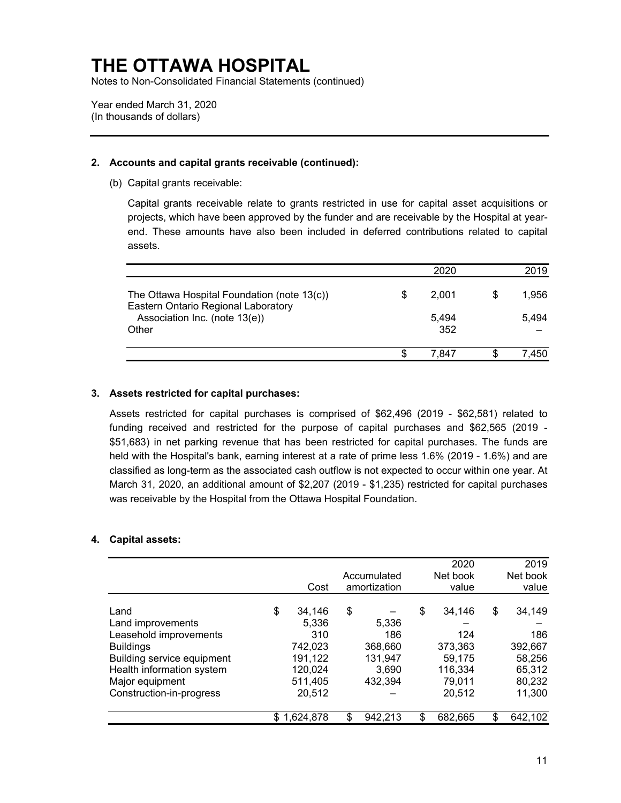Notes to Non-Consolidated Financial Statements (continued)

Year ended March 31, 2020 (In thousands of dollars)

#### **2. Accounts and capital grants receivable (continued):**

(b) Capital grants receivable:

Capital grants receivable relate to grants restricted in use for capital asset acquisitions or projects, which have been approved by the funder and are receivable by the Hospital at yearend. These amounts have also been included in deferred contributions related to capital assets.

|                                                                                    |   | 2020  | 2019  |
|------------------------------------------------------------------------------------|---|-------|-------|
| The Ottawa Hospital Foundation (note 13(c))<br>Eastern Ontario Regional Laboratory | S | 2.001 | 1,956 |
| Association Inc. (note 13(e))                                                      |   | 5.494 | 5.494 |
| Other                                                                              |   | 352   |       |
|                                                                                    |   | 7.847 | .450  |

#### **3. Assets restricted for capital purchases:**

Assets restricted for capital purchases is comprised of \$62,496 (2019 - \$62,581) related to funding received and restricted for the purpose of capital purchases and \$62,565 (2019 - \$51,683) in net parking revenue that has been restricted for capital purchases. The funds are held with the Hospital's bank, earning interest at a rate of prime less 1.6% (2019 - 1.6%) and are classified as long-term as the associated cash outflow is not expected to occur within one year. At March 31, 2020, an additional amount of \$2,207 (2019 - \$1,235) restricted for capital purchases was receivable by the Hospital from the Ottawa Hospital Foundation.

#### **4. Capital assets:**

|                            |                 |    |              | 2020         |    | 2019     |
|----------------------------|-----------------|----|--------------|--------------|----|----------|
|                            |                 |    | Accumulated  | Net book     |    | Net book |
|                            | Cost            |    | amortization | value        |    | value    |
| Land                       | \$<br>34,146    | \$ |              | \$<br>34.146 | \$ | 34,149   |
| Land improvements          | 5.336           |    | 5,336        |              |    |          |
| Leasehold improvements     | 310             |    | 186          | 124          |    | 186      |
| <b>Buildings</b>           | 742,023         |    | 368,660      | 373,363      |    | 392,667  |
| Building service equipment | 191,122         |    | 131,947      | 59.175       |    | 58,256   |
| Health information system  | 120,024         |    | 3,690        | 116,334      |    | 65,312   |
| Major equipment            | 511,405         |    | 432,394      | 79,011       |    | 80,232   |
| Construction-in-progress   | 20,512          |    |              | 20.512       |    | 11,300   |
|                            | \$<br>1,624,878 | S. | 942,213      | 682,665      | S. | 642,102  |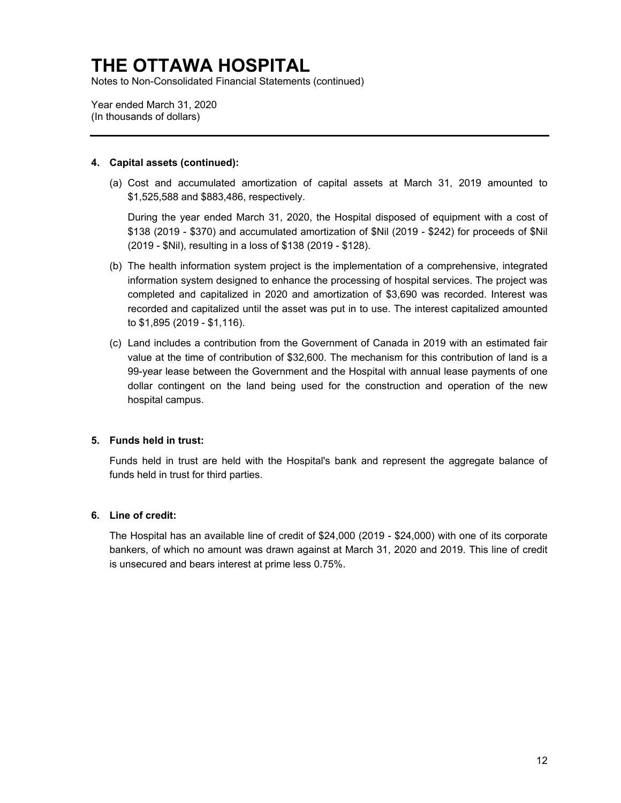Notes to Non-Consolidated Financial Statements (continued)

Year ended March 31, 2020 (In thousands of dollars)

#### **4. Capital assets (continued):**

(a) Cost and accumulated amortization of capital assets at March 31, 2019 amounted to \$1,525,588 and \$883,486, respectively.

During the year ended March 31, 2020, the Hospital disposed of equipment with a cost of \$138 (2019 - \$370) and accumulated amortization of \$Nil (2019 - \$242) for proceeds of \$Nil (2019 - \$Nil), resulting in a loss of \$138 (2019 - \$128).

- (b) The health information system project is the implementation of a comprehensive, integrated information system designed to enhance the processing of hospital services. The project was completed and capitalized in 2020 and amortization of \$3,690 was recorded. Interest was recorded and capitalized until the asset was put in to use. The interest capitalized amounted to \$1,895 (2019 - \$1,116).
- (c) Land includes a contribution from the Government of Canada in 2019 with an estimated fair value at the time of contribution of \$32,600. The mechanism for this contribution of land is a 99-year lease between the Government and the Hospital with annual lease payments of one dollar contingent on the land being used for the construction and operation of the new hospital campus.

#### **5. Funds held in trust:**

Funds held in trust are held with the Hospital's bank and represent the aggregate balance of funds held in trust for third parties.

#### **6. Line of credit:**

The Hospital has an available line of credit of \$24,000 (2019 - \$24,000) with one of its corporate bankers, of which no amount was drawn against at March 31, 2020 and 2019. This line of credit is unsecured and bears interest at prime less 0.75%.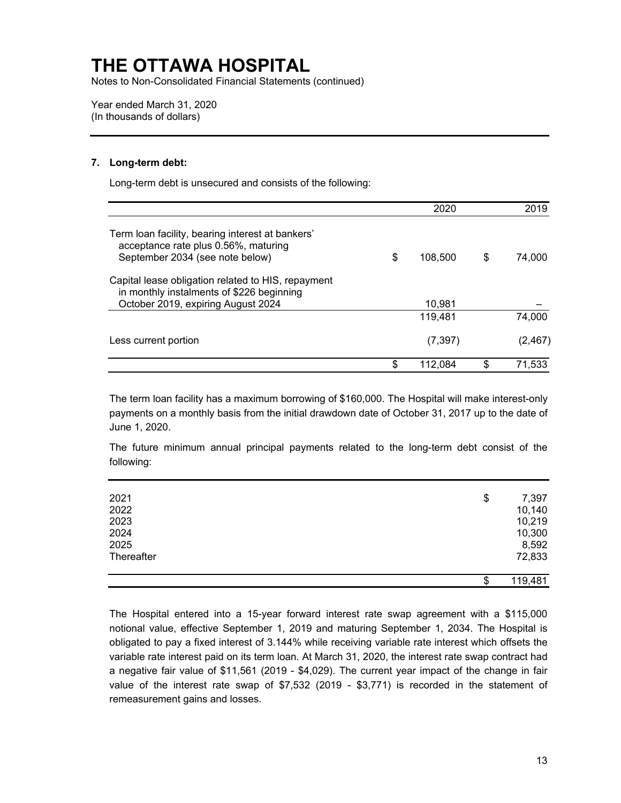Notes to Non-Consolidated Financial Statements (continued)

Year ended March 31, 2020 (In thousands of dollars)

#### **7. Long-term debt:**

Long-term debt is unsecured and consists of the following:

|                                                                                                                                       | 2020          | 2019         |
|---------------------------------------------------------------------------------------------------------------------------------------|---------------|--------------|
| Term loan facility, bearing interest at bankers'<br>acceptance rate plus 0.56%, maturing<br>September 2034 (see note below)           | \$<br>108,500 | \$<br>74.000 |
| Capital lease obligation related to HIS, repayment<br>in monthly instalments of \$226 beginning<br>October 2019, expiring August 2024 | 10,981        |              |
|                                                                                                                                       | 119.481       | 74,000       |
| Less current portion                                                                                                                  | (7, 397)      | (2, 467)     |
|                                                                                                                                       | \$<br>112,084 | \$<br>71.533 |

June 1, 2020. The term loan facility has a maximum borrowing of \$160,000. The Hospital will make interest-only payments on a monthly basis from the initial drawdown date of October 31, 2017 up to the date of

The future minimum annual principal payments related to the long-term debt consist of the following:

| 2021       | \$<br>7,397   |
|------------|---------------|
| 2022       | 10,140        |
| 2023       | 10,219        |
| 2024       | 10,300        |
| 2025       | 8,592         |
| Thereafter | 72,833        |
|            |               |
|            | \$<br>119,481 |

The Hospital entered into a 15-year forward interest rate swap agreement with a \$115,000 notional value, effective September 1, 2019 and maturing September 1, 2034. The Hospital is obligated to pay a fixed interest of 3.144% while receiving variable rate interest which offsets the variable rate interest paid on its term loan. At March 31, 2020, the interest rate swap contract had a negative fair value of \$11,561 (2019 - \$4,029). The current year impact of the change in fair value of the interest rate swap of \$7,532 (2019 - \$3,771) is recorded in the statement of remeasurement gains and losses.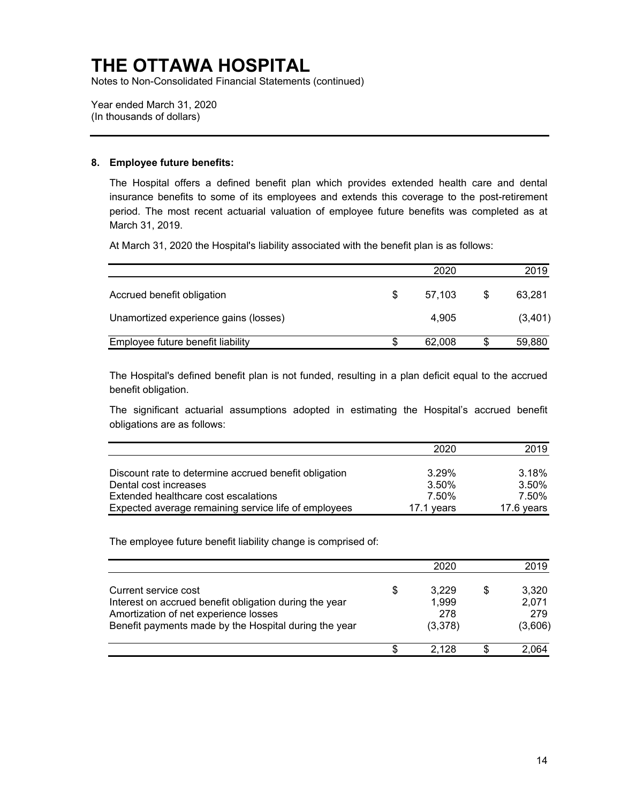Notes to Non-Consolidated Financial Statements (continued)

Year ended March 31, 2020 (In thousands of dollars)

#### **8. Employee future benefits:**

The Hospital offers a defined benefit plan which provides extended health care and dental insurance benefits to some of its employees and extends this coverage to the post-retirement period. The most recent actuarial valuation of employee future benefits was completed as at March 31, 2019.

At March 31, 2020 the Hospital's liability associated with the benefit plan is as follows:

|                                       | 2020         |   | 2019    |
|---------------------------------------|--------------|---|---------|
| Accrued benefit obligation            | \$<br>57.103 | S | 63.281  |
| Unamortized experience gains (losses) | 4.905        |   | (3,401) |
| Employee future benefit liability     | 62,008       | S | 59,880  |

The Hospital's defined benefit plan is not funded, resulting in a plan deficit equal to the accrued benefit obligation.

The significant actuarial assumptions adopted in estimating the Hospital's accrued benefit obligations are as follows:

|                                                       | 2020       | 2019       |
|-------------------------------------------------------|------------|------------|
|                                                       |            |            |
| Discount rate to determine accrued benefit obligation | 3.29%      | 3.18%      |
| Dental cost increases                                 | 3.50%      | 3.50%      |
| Extended healthcare cost escalations                  | 7.50%      | 7.50%      |
| Expected average remaining service life of employees  | 17.1 years | 17.6 years |

The employee future benefit liability change is comprised of:

|                                                                                                                                                                                  |    | 2020                             |   | 2019                             |
|----------------------------------------------------------------------------------------------------------------------------------------------------------------------------------|----|----------------------------------|---|----------------------------------|
| Current service cost<br>Interest on accrued benefit obligation during the year<br>Amortization of net experience losses<br>Benefit payments made by the Hospital during the year | \$ | 3,229<br>1,999<br>278<br>(3,378) | S | 3,320<br>2,071<br>279<br>(3,606) |
|                                                                                                                                                                                  | S  | 2.128                            |   | 2,064                            |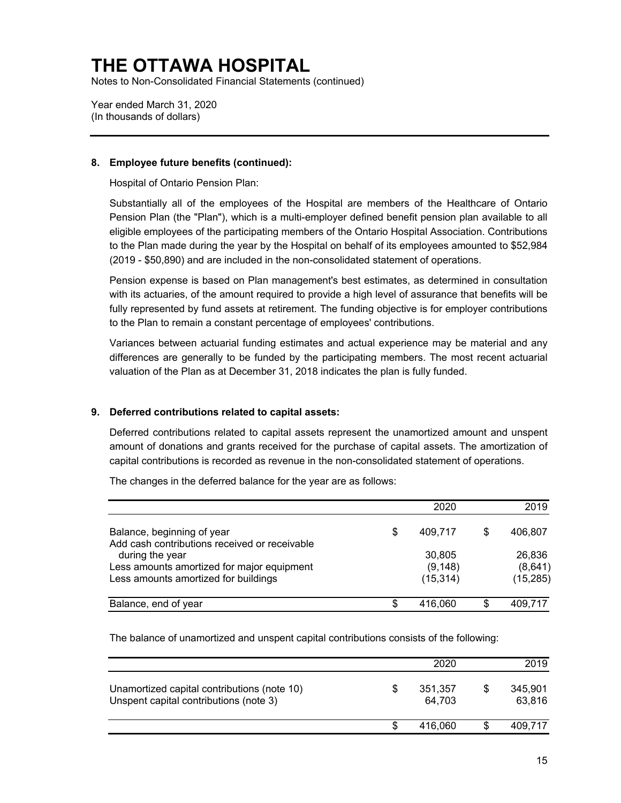Notes to Non-Consolidated Financial Statements (continued)

Year ended March 31, 2020 (In thousands of dollars)

#### **8. Employee future benefits (continued):**

Hospital of Ontario Pension Plan:

Substantially all of the employees of the Hospital are members of the Healthcare of Ontario Pension Plan (the "Plan"), which is a multi-employer defined benefit pension plan available to all eligible employees of the participating members of the Ontario Hospital Association. Contributions to the Plan made during the year by the Hospital on behalf of its employees amounted to \$52,984 (2019 - \$50,890) and are included in the non-consolidated statement of operations.

Pension expense is based on Plan management's best estimates, as determined in consultation with its actuaries, of the amount required to provide a high level of assurance that benefits will be fully represented by fund assets at retirement. The funding objective is for employer contributions to the Plan to remain a constant percentage of employees' contributions.

Variances between actuarial funding estimates and actual experience may be material and any differences are generally to be funded by the participating members. The most recent actuarial valuation of the Plan as at December 31, 2018 indicates the plan is fully funded.

#### **9. Deferred contributions related to capital assets:**

Deferred contributions related to capital assets represent the unamortized amount and unspent amount of donations and grants received for the purchase of capital assets. The amortization of capital contributions is recorded as revenue in the non-consolidated statement of operations.

The changes in the deferred balance for the year are as follows:

|                                                                                                                |    | 2020               |   | 2019              |
|----------------------------------------------------------------------------------------------------------------|----|--------------------|---|-------------------|
| Balance, beginning of year                                                                                     | S  | 409.717            | S | 406,807           |
| Add cash contributions received or receivable<br>during the year<br>Less amounts amortized for major equipment |    | 30,805<br>(9, 148) |   | 26,836<br>(8,641) |
| Less amounts amortized for buildings                                                                           |    | (15, 314)          |   | (15, 285)         |
| Balance, end of year                                                                                           | \$ | 416.060            | S | 409,717           |

The balance of unamortized and unspent capital contributions consists of the following:

|                                                                                       |   | 2020              |   | 2019              |
|---------------------------------------------------------------------------------------|---|-------------------|---|-------------------|
| Unamortized capital contributions (note 10)<br>Unspent capital contributions (note 3) | S | 351,357<br>64.703 | S | 345,901<br>63,816 |
|                                                                                       | S | 416.060           |   | 409,717           |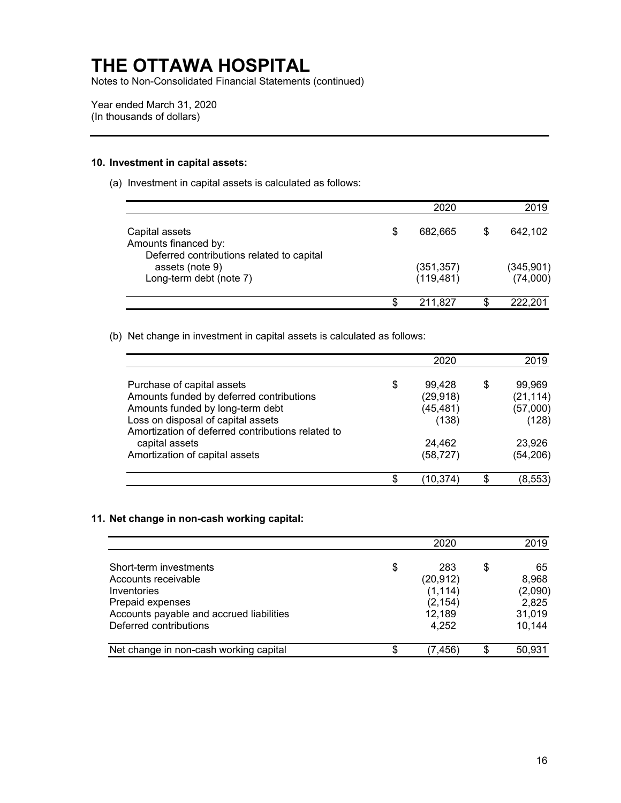Notes to Non-Consolidated Financial Statements (continued)

Year ended March 31, 2020 (In thousands of dollars)

#### **10. Investment in capital assets:**

(a) Investment in capital assets is calculated as follows:

|                                                                                     |   | 2020                     | 2019                   |
|-------------------------------------------------------------------------------------|---|--------------------------|------------------------|
| Capital assets<br>Amounts financed by:<br>Deferred contributions related to capital | S | 682.665                  | 642,102                |
| assets (note 9)<br>Long-term debt (note 7)                                          |   | (351, 357)<br>(119, 481) | (345, 901)<br>(74,000) |
|                                                                                     |   | 211,827                  | 222,201                |

(b) Net change in investment in capital assets is calculated as follows:

|                                                   | 2020         |   | 2019      |
|---------------------------------------------------|--------------|---|-----------|
| Purchase of capital assets                        | \$<br>99.428 | S | 99,969    |
| Amounts funded by deferred contributions          | (29, 918)    |   | (21, 114) |
| Amounts funded by long-term debt                  | (45, 481)    |   | (57,000)  |
| Loss on disposal of capital assets                | (138)        |   | (128)     |
| Amortization of deferred contributions related to |              |   |           |
| capital assets                                    | 24,462       |   | 23.926    |
| Amortization of capital assets                    | (58, 727)    |   | (54, 206) |
|                                                   | (10,374      |   | (8,553    |

#### **11. Net change in non-cash working capital:**

|                                          | 2020           | 2019     |
|------------------------------------------|----------------|----------|
| Short-term investments                   | \$<br>283      | \$<br>65 |
| Accounts receivable                      | (20, 912)      | 8,968    |
| Inventories                              | (1, 114)       | (2,090)  |
| Prepaid expenses                         | (2, 154)       | 2,825    |
| Accounts payable and accrued liabilities | 12,189         | 31,019   |
| Deferred contributions                   | 4.252          | 10,144   |
| Net change in non-cash working capital   | \$<br>(7, 456) | 50,931   |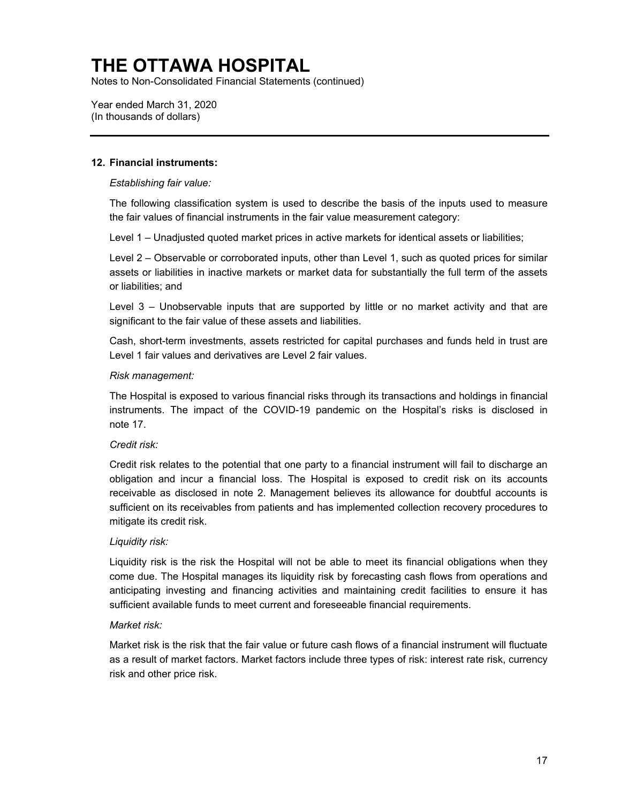Notes to Non-Consolidated Financial Statements (continued)

Year ended March 31, 2020 (In thousands of dollars)

#### **12. Financial instruments:**

*Establishing fair value:* 

The following classification system is used to describe the basis of the inputs used to measure the fair values of financial instruments in the fair value measurement category:

Level 1 – Unadjusted quoted market prices in active markets for identical assets or liabilities;

Level 2 – Observable or corroborated inputs, other than Level 1, such as quoted prices for similar assets or liabilities in inactive markets or market data for substantially the full term of the assets or liabilities; and

Level 3 – Unobservable inputs that are supported by little or no market activity and that are significant to the fair value of these assets and liabilities.

Cash, short-term investments, assets restricted for capital purchases and funds held in trust are Level 1 fair values and derivatives are Level 2 fair values.

#### *Risk management:*

The Hospital is exposed to various financial risks through its transactions and holdings in financial instruments. The impact of the COVID-19 pandemic on the Hospital's risks is disclosed in note 17.

#### *Credit risk:*

Credit risk relates to the potential that one party to a financial instrument will fail to discharge an obligation and incur a financial loss. The Hospital is exposed to credit risk on its accounts receivable as disclosed in note 2. Management believes its allowance for doubtful accounts is sufficient on its receivables from patients and has implemented collection recovery procedures to mitigate its credit risk.

#### *Liquidity risk:*

Liquidity risk is the risk the Hospital will not be able to meet its financial obligations when they come due. The Hospital manages its liquidity risk by forecasting cash flows from operations and anticipating investing and financing activities and maintaining credit facilities to ensure it has sufficient available funds to meet current and foreseeable financial requirements.

#### *Market risk:*

Market risk is the risk that the fair value or future cash flows of a financial instrument will fluctuate as a result of market factors. Market factors include three types of risk: interest rate risk, currency risk and other price risk.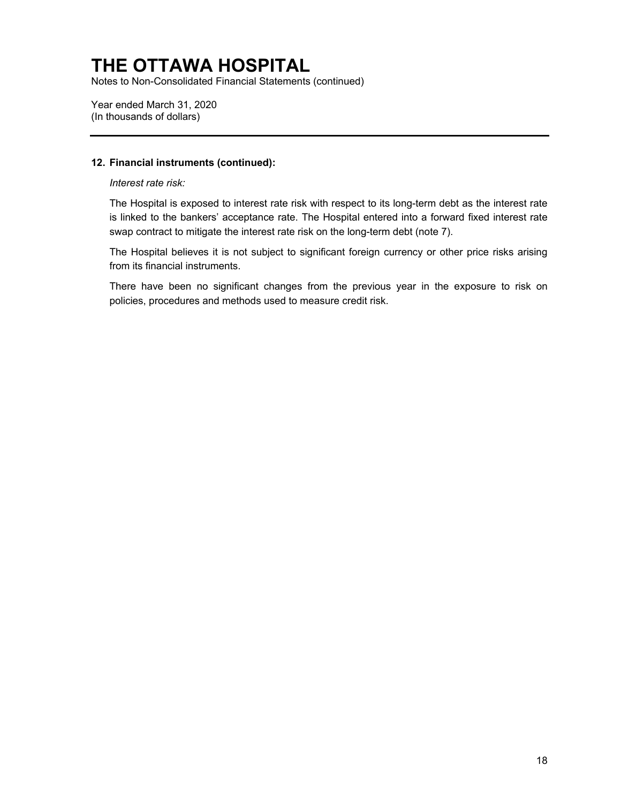Notes to Non-Consolidated Financial Statements (continued)

Year ended March 31, 2020 (In thousands of dollars)

#### **12. Financial instruments (continued):**

*Interest rate risk:* 

The Hospital is exposed to interest rate risk with respect to its long-term debt as the interest rate is linked to the bankers' acceptance rate. The Hospital entered into a forward fixed interest rate swap contract to mitigate the interest rate risk on the long-term debt (note 7).

The Hospital believes it is not subject to significant foreign currency or other price risks arising from its financial instruments.

There have been no significant changes from the previous year in the exposure to risk on policies, procedures and methods used to measure credit risk.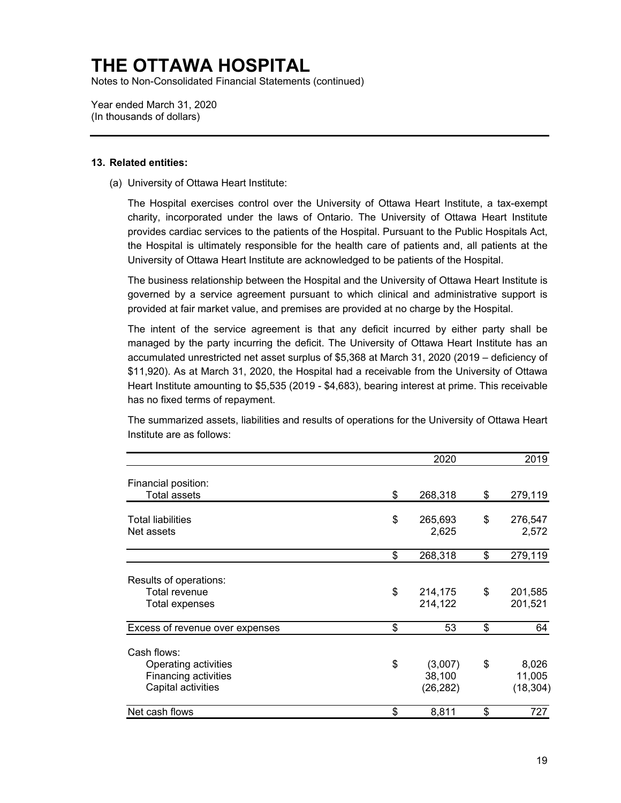Notes to Non-Consolidated Financial Statements (continued)

Year ended March 31, 2020 (In thousands of dollars)

#### **13. Related entities:**

(a) University of Ottawa Heart Institute:

The Hospital exercises control over the University of Ottawa Heart Institute, a tax-exempt charity, incorporated under the laws of Ontario. The University of Ottawa Heart Institute provides cardiac services to the patients of the Hospital. Pursuant to the Public Hospitals Act, the Hospital is ultimately responsible for the health care of patients and, all patients at the University of Ottawa Heart Institute are acknowledged to be patients of the Hospital.

The business relationship between the Hospital and the University of Ottawa Heart Institute is governed by a service agreement pursuant to which clinical and administrative support is provided at fair market value, and premises are provided at no charge by the Hospital.

The intent of the service agreement is that any deficit incurred by either party shall be managed by the party incurring the deficit. The University of Ottawa Heart Institute has an accumulated unrestricted net asset surplus of \$5,368 at March 31, 2020 (2019 – deficiency of \$11,920). As at March 31, 2020, the Hospital had a receivable from the University of Ottawa Heart Institute amounting to \$5,535 (2019 - \$4,683), bearing interest at prime. This receivable has no fixed terms of repayment.

The summarized assets, liabilities and results of operations for the University of Ottawa Heart Institute are as follows:

|                                                                                   |    | 2020                           | 2019                               |
|-----------------------------------------------------------------------------------|----|--------------------------------|------------------------------------|
| Financial position:<br><b>Total assets</b>                                        | \$ | 268,318                        | \$<br>279,119                      |
|                                                                                   |    |                                |                                    |
| <b>Total liabilities</b><br>Net assets                                            | \$ | 265,693<br>2,625               | \$<br>276,547<br>2,572             |
|                                                                                   | \$ | 268,318                        | \$<br>279,119                      |
| Results of operations:<br><b>Total revenue</b><br>Total expenses                  | \$ | 214,175<br>214,122             | \$<br>201,585<br>201,521           |
| Excess of revenue over expenses                                                   | \$ | 53                             | \$<br>64                           |
| Cash flows:<br>Operating activities<br>Financing activities<br>Capital activities | \$ | (3,007)<br>38,100<br>(26, 282) | \$<br>8,026<br>11,005<br>(18, 304) |
| Net cash flows                                                                    | \$ | 8,811                          | \$<br>727                          |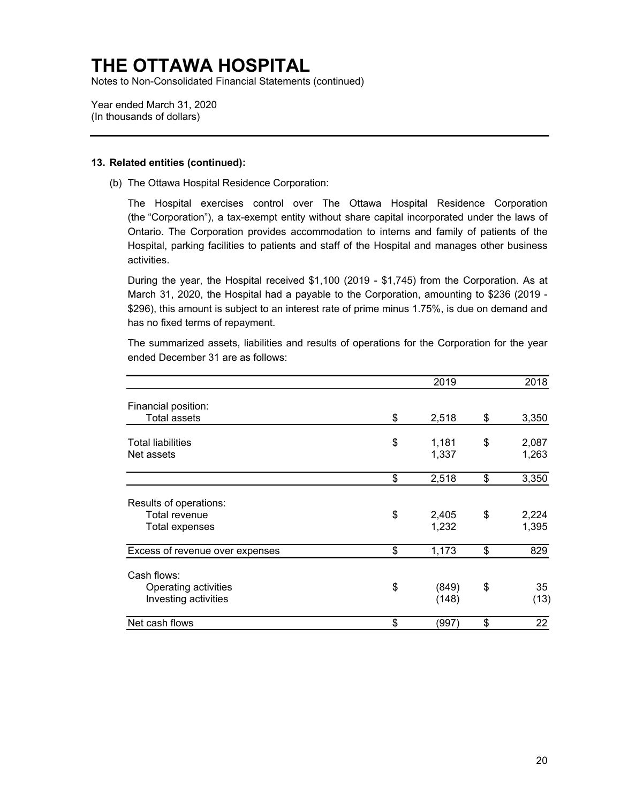Notes to Non-Consolidated Financial Statements (continued)

Year ended March 31, 2020 (In thousands of dollars)

#### **13. Related entities (continued):**

(b) The Ottawa Hospital Residence Corporation:

The Hospital exercises control over The Ottawa Hospital Residence Corporation (the "Corporation"), a tax-exempt entity without share capital incorporated under the laws of Ontario. The Corporation provides accommodation to interns and family of patients of the Hospital, parking facilities to patients and staff of the Hospital and manages other business activities.

During the year, the Hospital received \$1,100 (2019 - \$1,745) from the Corporation. As at March 31, 2020, the Hospital had a payable to the Corporation, amounting to \$236 (2019 - \$296), this amount is subject to an interest rate of prime minus 1.75%, is due on demand and has no fixed terms of repayment.

The summarized assets, liabilities and results of operations for the Corporation for the year ended December 31 are as follows:

|                                              | 2019                 | 2018                 |
|----------------------------------------------|----------------------|----------------------|
| Financial position:<br><b>Total assets</b>   | \$<br>2,518          | \$<br>3,350          |
|                                              |                      |                      |
| <b>Total liabilities</b><br>Net assets       | \$<br>1,181<br>1,337 | \$<br>2,087<br>1,263 |
|                                              | \$<br>2,518          | \$<br>3,350          |
| Results of operations:                       |                      |                      |
| Total revenue<br>Total expenses              | \$<br>2,405<br>1,232 | \$<br>2,224<br>1,395 |
| Excess of revenue over expenses              | \$<br>1,173          | \$<br>829            |
| Cash flows:                                  |                      |                      |
| Operating activities<br>Investing activities | \$<br>(849)<br>(148) | \$<br>35<br>(13)     |
| Net cash flows                               | \$<br>997'           | \$<br>22             |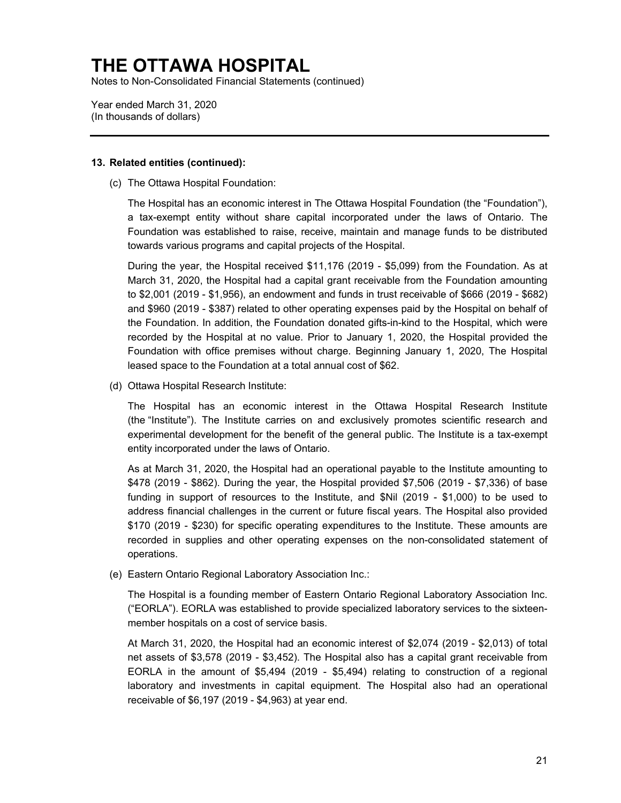Notes to Non-Consolidated Financial Statements (continued)

Year ended March 31, 2020 (In thousands of dollars)

#### **13. Related entities (continued):**

(c) The Ottawa Hospital Foundation:

The Hospital has an economic interest in The Ottawa Hospital Foundation (the "Foundation"), a tax-exempt entity without share capital incorporated under the laws of Ontario. The Foundation was established to raise, receive, maintain and manage funds to be distributed towards various programs and capital projects of the Hospital.

 recorded by the Hospital at no value. Prior to January 1, 2020, the Hospital provided the During the year, the Hospital received \$11,176 (2019 - \$5,099) from the Foundation. As at March 31, 2020, the Hospital had a capital grant receivable from the Foundation amounting to \$2,001 (2019 - \$1,956), an endowment and funds in trust receivable of \$666 (2019 - \$682) and \$960 (2019 - \$387) related to other operating expenses paid by the Hospital on behalf of the Foundation. In addition, the Foundation donated gifts-in-kind to the Hospital, which were Foundation with office premises without charge. Beginning January 1, 2020, The Hospital leased space to the Foundation at a total annual cost of \$62.

(d) Ottawa Hospital Research Institute:

The Hospital has an economic interest in the Ottawa Hospital Research Institute (the "Institute"). The Institute carries on and exclusively promotes scientific research and experimental development for the benefit of the general public. The Institute is a tax-exempt entity incorporated under the laws of Ontario.

As at March 31, 2020, the Hospital had an operational payable to the Institute amounting to \$478 (2019 - \$862). During the year, the Hospital provided \$7,506 (2019 - \$7,336) of base funding in support of resources to the Institute, and \$Nil (2019 - \$1,000) to be used to address financial challenges in the current or future fiscal years. The Hospital also provided \$170 (2019 - \$230) for specific operating expenditures to the Institute. These amounts are recorded in supplies and other operating expenses on the non-consolidated statement of operations.

(e) Eastern Ontario Regional Laboratory Association Inc.:

The Hospital is a founding member of Eastern Ontario Regional Laboratory Association Inc. ("EORLA"). EORLA was established to provide specialized laboratory services to the sixteenmember hospitals on a cost of service basis.

At March 31, 2020, the Hospital had an economic interest of \$2,074 (2019 - \$2,013) of total net assets of \$3,578 (2019 - \$3,452). The Hospital also has a capital grant receivable from EORLA in the amount of \$5,494 (2019 - \$5,494) relating to construction of a regional laboratory and investments in capital equipment. The Hospital also had an operational receivable of \$6,197 (2019 - \$4,963) at year end.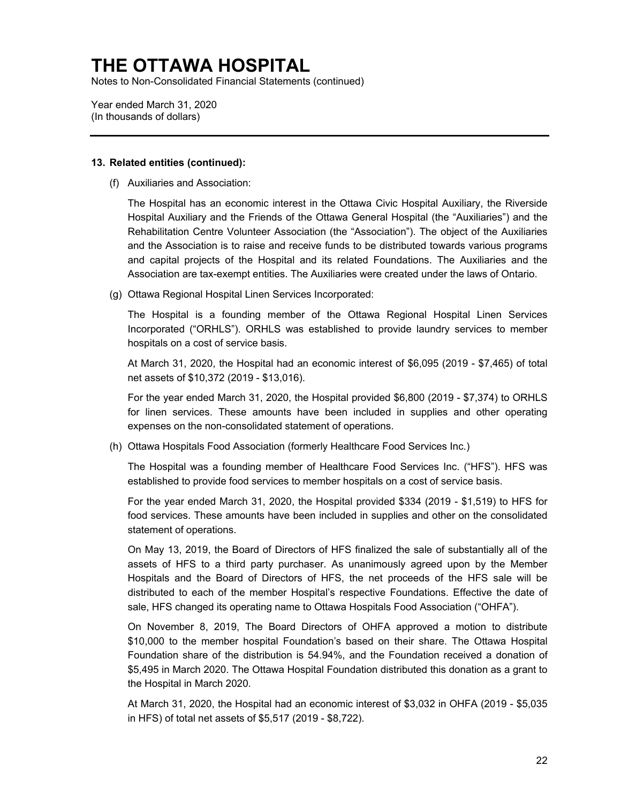Notes to Non-Consolidated Financial Statements (continued)

Year ended March 31, 2020 (In thousands of dollars)

#### **13. Related entities (continued):**

(f) Auxiliaries and Association:

The Hospital has an economic interest in the Ottawa Civic Hospital Auxiliary, the Riverside Hospital Auxiliary and the Friends of the Ottawa General Hospital (the "Auxiliaries") and the Rehabilitation Centre Volunteer Association (the "Association"). The object of the Auxiliaries and the Association is to raise and receive funds to be distributed towards various programs and capital projects of the Hospital and its related Foundations. The Auxiliaries and the Association are tax-exempt entities. The Auxiliaries were created under the laws of Ontario.

(g) Ottawa Regional Hospital Linen Services Incorporated:

The Hospital is a founding member of the Ottawa Regional Hospital Linen Services Incorporated ("ORHLS"). ORHLS was established to provide laundry services to member hospitals on a cost of service basis.

At March 31, 2020, the Hospital had an economic interest of \$6,095 (2019 - \$7,465) of total net assets of \$10,372 (2019 - \$13,016).

For the year ended March 31, 2020, the Hospital provided \$6,800 (2019 - \$7,374) to ORHLS for linen services. These amounts have been included in supplies and other operating expenses on the non-consolidated statement of operations.

(h) Ottawa Hospitals Food Association (formerly Healthcare Food Services Inc.)

The Hospital was a founding member of Healthcare Food Services Inc. ("HFS"). HFS was established to provide food services to member hospitals on a cost of service basis.

For the year ended March 31, 2020, the Hospital provided \$334 (2019 - \$1,519) to HFS for food services. These amounts have been included in supplies and other on the consolidated statement of operations.

On May 13, 2019, the Board of Directors of HFS finalized the sale of substantially all of the assets of HFS to a third party purchaser. As unanimously agreed upon by the Member Hospitals and the Board of Directors of HFS, the net proceeds of the HFS sale will be distributed to each of the member Hospital's respective Foundations. Effective the date of sale, HFS changed its operating name to Ottawa Hospitals Food Association ("OHFA").

On November 8, 2019, The Board Directors of OHFA approved a motion to distribute \$10,000 to the member hospital Foundation's based on their share. The Ottawa Hospital Foundation share of the distribution is 54.94%, and the Foundation received a donation of \$5,495 in March 2020. The Ottawa Hospital Foundation distributed this donation as a grant to the Hospital in March 2020.

At March 31, 2020, the Hospital had an economic interest of \$3,032 in OHFA (2019 - \$5,035 in HFS) of total net assets of \$5,517 (2019 - \$8,722).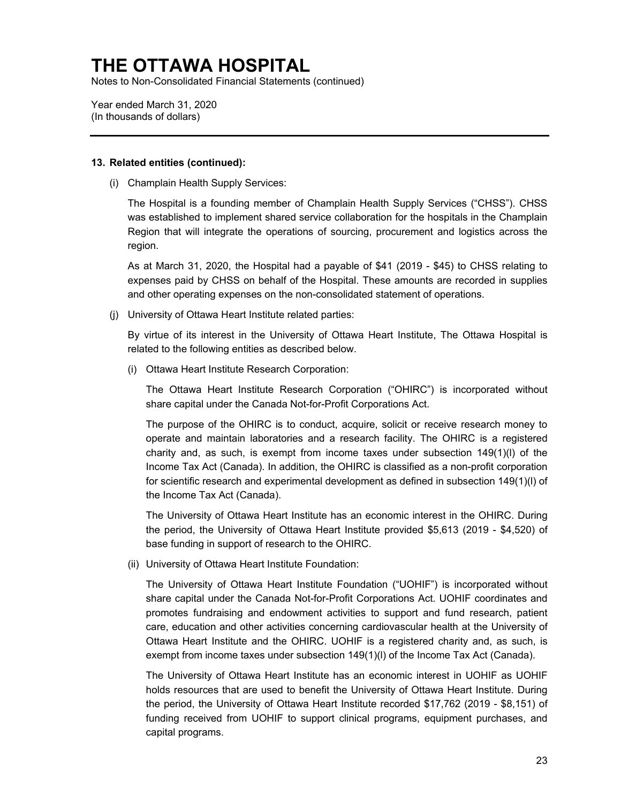Notes to Non-Consolidated Financial Statements (continued)

Year ended March 31, 2020 (In thousands of dollars)

#### **13. Related entities (continued):**

(i) Champlain Health Supply Services:

The Hospital is a founding member of Champlain Health Supply Services ("CHSS"). CHSS was established to implement shared service collaboration for the hospitals in the Champlain Region that will integrate the operations of sourcing, procurement and logistics across the region.

As at March 31, 2020, the Hospital had a payable of \$41 (2019 - \$45) to CHSS relating to expenses paid by CHSS on behalf of the Hospital. These amounts are recorded in supplies and other operating expenses on the non-consolidated statement of operations.

(j) University of Ottawa Heart Institute related parties:

By virtue of its interest in the University of Ottawa Heart Institute, The Ottawa Hospital is related to the following entities as described below.

(i) Ottawa Heart Institute Research Corporation:

The Ottawa Heart Institute Research Corporation ("OHIRC") is incorporated without share capital under the Canada Not-for-Profit Corporations Act.

The purpose of the OHIRC is to conduct, acquire, solicit or receive research money to operate and maintain laboratories and a research facility. The OHIRC is a registered charity and, as such, is exempt from income taxes under subsection  $149(1)(l)$  of the Income Tax Act (Canada). In addition, the OHIRC is classified as a non-profit corporation for scientific research and experimental development as defined in subsection 149(1)(l) of the Income Tax Act (Canada).

The University of Ottawa Heart Institute has an economic interest in the OHIRC. During the period, the University of Ottawa Heart Institute provided \$5,613 (2019 - \$4,520) of base funding in support of research to the OHIRC.

(ii) University of Ottawa Heart Institute Foundation:

The University of Ottawa Heart Institute Foundation ("UOHIF") is incorporated without share capital under the Canada Not-for-Profit Corporations Act. UOHIF coordinates and promotes fundraising and endowment activities to support and fund research, patient care, education and other activities concerning cardiovascular health at the University of Ottawa Heart Institute and the OHIRC. UOHIF is a registered charity and, as such, is exempt from income taxes under subsection 149(1)(l) of the Income Tax Act (Canada).

 The University of Ottawa Heart Institute has an economic interest in UOHIF as UOHIF holds resources that are used to benefit the University of Ottawa Heart Institute. During the period, the University of Ottawa Heart Institute recorded \$17,762 (2019 - \$8,151) of funding received from UOHIF to support clinical programs, equipment purchases, and capital programs.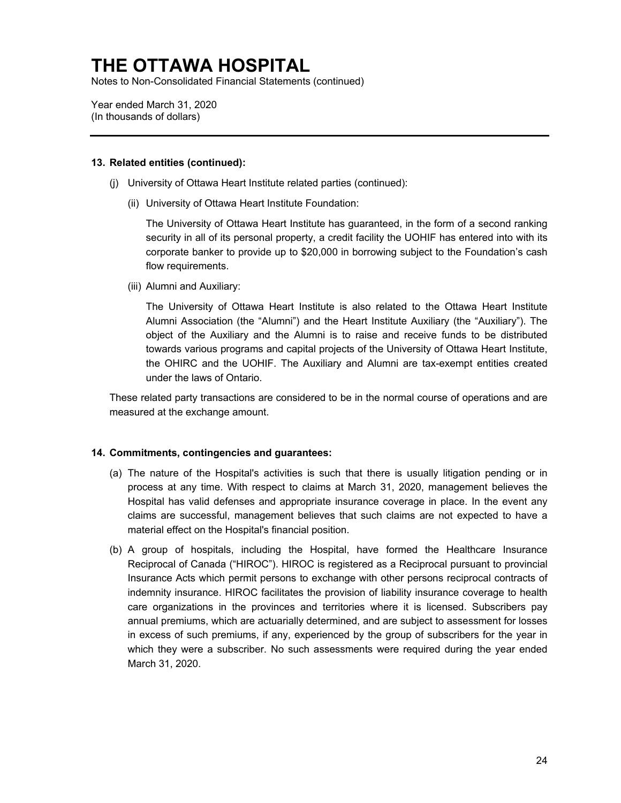Notes to Non-Consolidated Financial Statements (continued)

Year ended March 31, 2020 (In thousands of dollars)

#### **13. Related entities (continued):**

- (j) University of Ottawa Heart Institute related parties (continued):
	- (ii) University of Ottawa Heart Institute Foundation:

The University of Ottawa Heart Institute has guaranteed, in the form of a second ranking security in all of its personal property, a credit facility the UOHIF has entered into with its corporate banker to provide up to \$20,000 in borrowing subject to the Foundation's cash flow requirements.

(iii) Alumni and Auxiliary:

The University of Ottawa Heart Institute is also related to the Ottawa Heart Institute Alumni Association (the "Alumni") and the Heart Institute Auxiliary (the "Auxiliary"). The object of the Auxiliary and the Alumni is to raise and receive funds to be distributed towards various programs and capital projects of the University of Ottawa Heart Institute, the OHIRC and the UOHIF. The Auxiliary and Alumni are tax-exempt entities created under the laws of Ontario.

These related party transactions are considered to be in the normal course of operations and are measured at the exchange amount.

#### **14. Commitments, contingencies and guarantees:**

- (a) The nature of the Hospital's activities is such that there is usually litigation pending or in process at any time. With respect to claims at March 31, 2020, management believes the Hospital has valid defenses and appropriate insurance coverage in place. In the event any claims are successful, management believes that such claims are not expected to have a material effect on the Hospital's financial position.
- (b) A group of hospitals, including the Hospital, have formed the Healthcare Insurance Reciprocal of Canada ("HIROC"). HIROC is registered as a Reciprocal pursuant to provincial Insurance Acts which permit persons to exchange with other persons reciprocal contracts of indemnity insurance. HIROC facilitates the provision of liability insurance coverage to health care organizations in the provinces and territories where it is licensed. Subscribers pay annual premiums, which are actuarially determined, and are subject to assessment for losses in excess of such premiums, if any, experienced by the group of subscribers for the year in which they were a subscriber. No such assessments were required during the year ended March 31, 2020.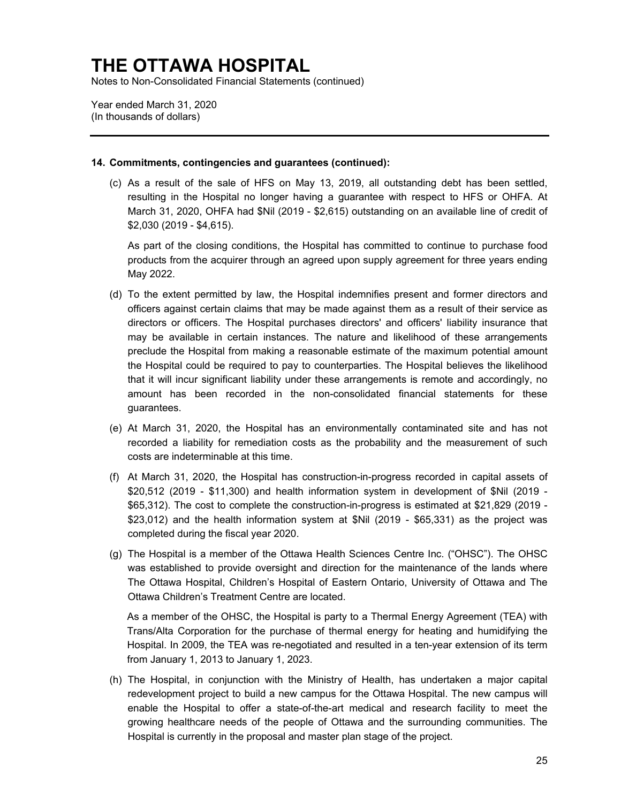Notes to Non-Consolidated Financial Statements (continued)

Year ended March 31, 2020 (In thousands of dollars)

#### **14. Commitments, contingencies and guarantees (continued):**

(c) As a result of the sale of HFS on May 13, 2019, all outstanding debt has been settled, resulting in the Hospital no longer having a guarantee with respect to HFS or OHFA. At March 31, 2020, OHFA had \$Nil (2019 - \$2,615) outstanding on an available line of credit of \$2,030 (2019 - \$4,615).

As part of the closing conditions, the Hospital has committed to continue to purchase food products from the acquirer through an agreed upon supply agreement for three years ending May 2022.

- (d) To the extent permitted by law, the Hospital indemnifies present and former directors and officers against certain claims that may be made against them as a result of their service as directors or officers. The Hospital purchases directors' and officers' liability insurance that may be available in certain instances. The nature and likelihood of these arrangements preclude the Hospital from making a reasonable estimate of the maximum potential amount the Hospital could be required to pay to counterparties. The Hospital believes the likelihood that it will incur significant liability under these arrangements is remote and accordingly, no amount has been recorded in the non-consolidated financial statements for these guarantees.
- (e) At March 31, 2020, the Hospital has an environmentally contaminated site and has not recorded a liability for remediation costs as the probability and the measurement of such costs are indeterminable at this time.
- (f) At March 31, 2020, the Hospital has construction-in-progress recorded in capital assets of \$20,512 (2019 - \$11,300) and health information system in development of \$Nil (2019 - \$65,312). The cost to complete the construction-in-progress is estimated at \$21,829 (2019 - \$23,012) and the health information system at \$Nil (2019 - \$65,331) as the project was completed during the fiscal year 2020.
- (g) The Hospital is a member of the Ottawa Health Sciences Centre Inc. ("OHSC"). The OHSC was established to provide oversight and direction for the maintenance of the lands where The Ottawa Hospital, Children's Hospital of Eastern Ontario, University of Ottawa and The Ottawa Children's Treatment Centre are located.

As a member of the OHSC, the Hospital is party to a Thermal Energy Agreement (TEA) with Trans/Alta Corporation for the purchase of thermal energy for heating and humidifying the Hospital. In 2009, the TEA was re-negotiated and resulted in a ten-year extension of its term from January 1, 2013 to January 1, 2023.

(h) The Hospital, in conjunction with the Ministry of Health, has undertaken a major capital redevelopment project to build a new campus for the Ottawa Hospital. The new campus will enable the Hospital to offer a state-of-the-art medical and research facility to meet the growing healthcare needs of the people of Ottawa and the surrounding communities. The Hospital is currently in the proposal and master plan stage of the project.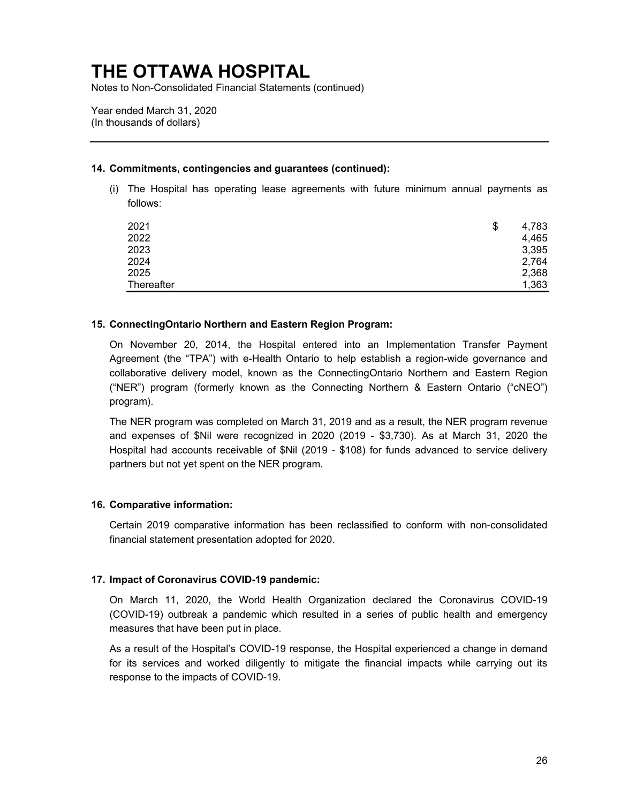Notes to Non-Consolidated Financial Statements (continued)

Year ended March 31, 2020 (In thousands of dollars)

#### **14. Commitments, contingencies and guarantees (continued):**

(i) The Hospital has operating lease agreements with future minimum annual payments as follows:

| 2021       | \$<br>4,783 |
|------------|-------------|
| 2022       | 4,465       |
| 2023       | 3,395       |
| 2024       | 2,764       |
| 2025       | 2,368       |
| Thereafter | 1,363       |

#### **15. ConnectingOntario Northern and Eastern Region Program:**

On November 20, 2014, the Hospital entered into an Implementation Transfer Payment Agreement (the "TPA") with e-Health Ontario to help establish a region-wide governance and collaborative delivery model, known as the ConnectingOntario Northern and Eastern Region ("NER") program (formerly known as the Connecting Northern & Eastern Ontario ("cNEO") program).

The NER program was completed on March 31, 2019 and as a result, the NER program revenue and expenses of \$Nil were recognized in 2020 (2019 - \$3,730). As at March 31, 2020 the Hospital had accounts receivable of \$Nil (2019 - \$108) for funds advanced to service delivery partners but not yet spent on the NER program.

#### **16. Comparative information:**

Certain 2019 comparative information has been reclassified to conform with non-consolidated financial statement presentation adopted for 2020.

#### **17. Impact of Coronavirus COVID-19 pandemic:**

On March 11, 2020, the World Health Organization declared the Coronavirus COVID-19 (COVID-19) outbreak a pandemic which resulted in a series of public health and emergency measures that have been put in place.

As a result of the Hospital's COVID-19 response, the Hospital experienced a change in demand for its services and worked diligently to mitigate the financial impacts while carrying out its response to the impacts of COVID-19.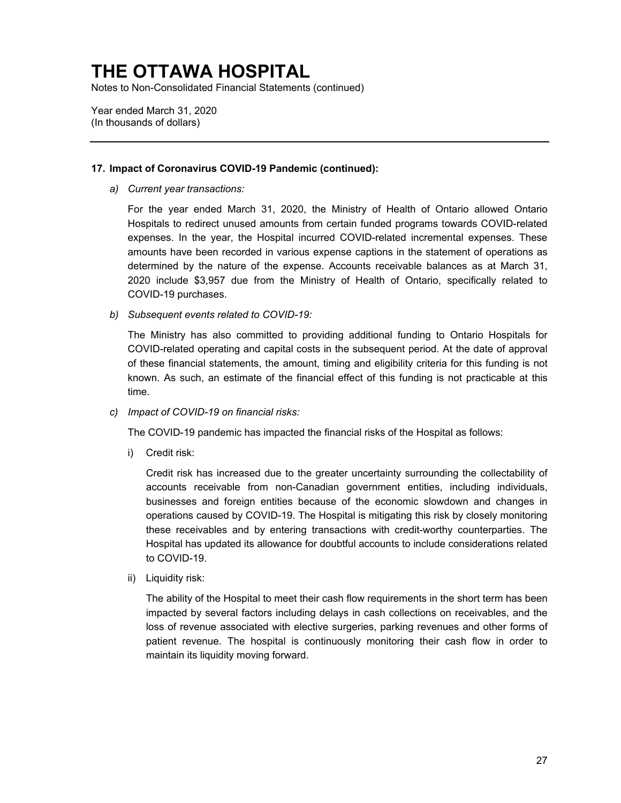Notes to Non-Consolidated Financial Statements (continued)

Year ended March 31, 2020 (In thousands of dollars)

#### **17. Impact of Coronavirus COVID-19 Pandemic (continued):**

*a) Current year transactions:* 

For the year ended March 31, 2020, the Ministry of Health of Ontario allowed Ontario Hospitals to redirect unused amounts from certain funded programs towards COVID-related expenses. In the year, the Hospital incurred COVID-related incremental expenses. These amounts have been recorded in various expense captions in the statement of operations as determined by the nature of the expense. Accounts receivable balances as at March 31, 2020 include \$3,957 due from the Ministry of Health of Ontario, specifically related to COVID-19 purchases.

*b) Subsequent events related to COVID-19:* 

The Ministry has also committed to providing additional funding to Ontario Hospitals for COVID-related operating and capital costs in the subsequent period. At the date of approval of these financial statements, the amount, timing and eligibility criteria for this funding is not known. As such, an estimate of the financial effect of this funding is not practicable at this time.

*c) Impact of COVID-19 on financial risks:* 

The COVID-19 pandemic has impacted the financial risks of the Hospital as follows:

i) Credit risk:

Credit risk has increased due to the greater uncertainty surrounding the collectability of accounts receivable from non-Canadian government entities, including individuals, businesses and foreign entities because of the economic slowdown and changes in operations caused by COVID-19. The Hospital is mitigating this risk by closely monitoring these receivables and by entering transactions with credit-worthy counterparties. The Hospital has updated its allowance for doubtful accounts to include considerations related to COVID-19.

ii) Liquidity risk:

The ability of the Hospital to meet their cash flow requirements in the short term has been impacted by several factors including delays in cash collections on receivables, and the loss of revenue associated with elective surgeries, parking revenues and other forms of patient revenue. The hospital is continuously monitoring their cash flow in order to maintain its liquidity moving forward.